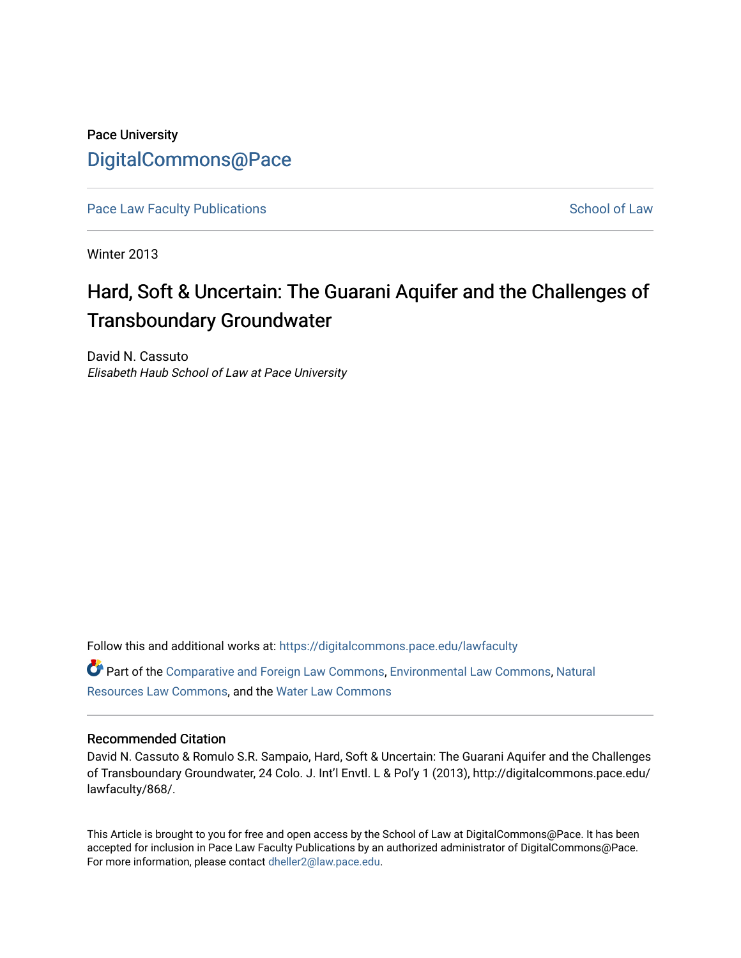# Pace University [DigitalCommons@Pace](https://digitalcommons.pace.edu/)

[Pace Law Faculty Publications](https://digitalcommons.pace.edu/lawfaculty) School of Law

Winter 2013

# Hard, Soft & Uncertain: The Guarani Aquifer and the Challenges of Transboundary Groundwater

David N. Cassuto Elisabeth Haub School of Law at Pace University

Follow this and additional works at: [https://digitalcommons.pace.edu/lawfaculty](https://digitalcommons.pace.edu/lawfaculty?utm_source=digitalcommons.pace.edu%2Flawfaculty%2F868&utm_medium=PDF&utm_campaign=PDFCoverPages)

Part of the [Comparative and Foreign Law Commons,](http://network.bepress.com/hgg/discipline/836?utm_source=digitalcommons.pace.edu%2Flawfaculty%2F868&utm_medium=PDF&utm_campaign=PDFCoverPages) [Environmental Law Commons](http://network.bepress.com/hgg/discipline/599?utm_source=digitalcommons.pace.edu%2Flawfaculty%2F868&utm_medium=PDF&utm_campaign=PDFCoverPages), [Natural](http://network.bepress.com/hgg/discipline/863?utm_source=digitalcommons.pace.edu%2Flawfaculty%2F868&utm_medium=PDF&utm_campaign=PDFCoverPages) [Resources Law Commons](http://network.bepress.com/hgg/discipline/863?utm_source=digitalcommons.pace.edu%2Flawfaculty%2F868&utm_medium=PDF&utm_campaign=PDFCoverPages), and the [Water Law Commons](http://network.bepress.com/hgg/discipline/887?utm_source=digitalcommons.pace.edu%2Flawfaculty%2F868&utm_medium=PDF&utm_campaign=PDFCoverPages) 

### Recommended Citation

David N. Cassuto & Romulo S.R. Sampaio, Hard, Soft & Uncertain: The Guarani Aquifer and the Challenges of Transboundary Groundwater, 24 Colo. J. Int'l Envtl. L & Pol'y 1 (2013), http://digitalcommons.pace.edu/ lawfaculty/868/.

This Article is brought to you for free and open access by the School of Law at DigitalCommons@Pace. It has been accepted for inclusion in Pace Law Faculty Publications by an authorized administrator of DigitalCommons@Pace. For more information, please contact [dheller2@law.pace.edu](mailto:dheller2@law.pace.edu).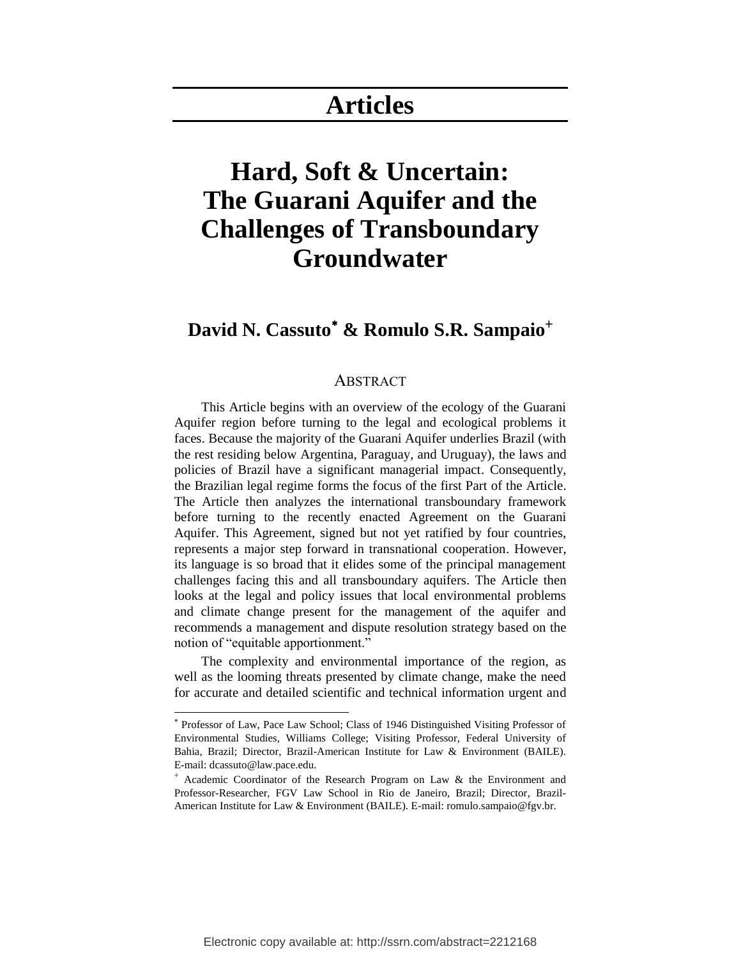# **Articles**

# **Hard, Soft & Uncertain: The Guarani Aquifer and the Challenges of Transboundary Groundwater**

## **David N. Cassuto & Romulo S.R. Sampaio**

### ABSTRACT

This Article begins with an overview of the ecology of the Guarani Aquifer region before turning to the legal and ecological problems it faces. Because the majority of the Guarani Aquifer underlies Brazil (with the rest residing below Argentina, Paraguay, and Uruguay), the laws and policies of Brazil have a significant managerial impact. Consequently, the Brazilian legal regime forms the focus of the first Part of the Article. The Article then analyzes the international transboundary framework before turning to the recently enacted Agreement on the Guarani Aquifer. This Agreement, signed but not yet ratified by four countries, represents a major step forward in transnational cooperation. However, its language is so broad that it elides some of the principal management challenges facing this and all transboundary aquifers. The Article then looks at the legal and policy issues that local environmental problems and climate change present for the management of the aquifer and recommends a management and dispute resolution strategy based on the notion of "equitable apportionment."

The complexity and environmental importance of the region, as well as the looming threats presented by climate change, make the need for accurate and detailed scientific and technical information urgent and

 $\overline{a}$ 

Professor of Law, Pace Law School; Class of 1946 Distinguished Visiting Professor of Environmental Studies, Williams College; Visiting Professor, Federal University of Bahia, Brazil; Director, Brazil-American Institute for Law & Environment (BAILE). E-mail: dcassuto@law.pace.edu.

Academic Coordinator of the Research Program on Law & the Environment and Professor-Researcher, FGV Law School in Rio de Janeiro, Brazil; Director, Brazil-American Institute for Law & Environment (BAILE). E-mail: romulo.sampaio@fgv.br.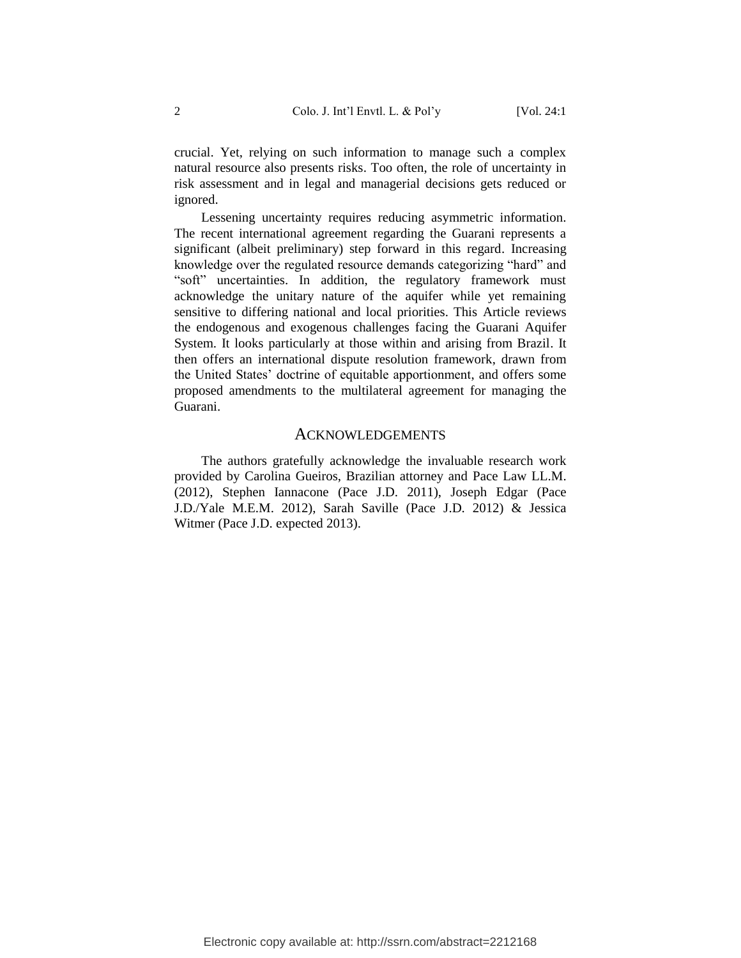crucial. Yet, relying on such information to manage such a complex natural resource also presents risks. Too often, the role of uncertainty in risk assessment and in legal and managerial decisions gets reduced or ignored.

Lessening uncertainty requires reducing asymmetric information. The recent international agreement regarding the Guarani represents a significant (albeit preliminary) step forward in this regard. Increasing knowledge over the regulated resource demands categorizing "hard" and "soft" uncertainties. In addition, the regulatory framework must acknowledge the unitary nature of the aquifer while yet remaining sensitive to differing national and local priorities. This Article reviews the endogenous and exogenous challenges facing the Guarani Aquifer System. It looks particularly at those within and arising from Brazil. It then offers an international dispute resolution framework, drawn from the United States' doctrine of equitable apportionment, and offers some proposed amendments to the multilateral agreement for managing the Guarani.

### ACKNOWLEDGEMENTS

The authors gratefully acknowledge the invaluable research work provided by Carolina Gueiros, Brazilian attorney and Pace Law LL.M. (2012), Stephen Iannacone (Pace J.D. 2011), Joseph Edgar (Pace J.D./Yale M.E.M. 2012), Sarah Saville (Pace J.D. 2012) & Jessica Witmer (Pace J.D. expected 2013).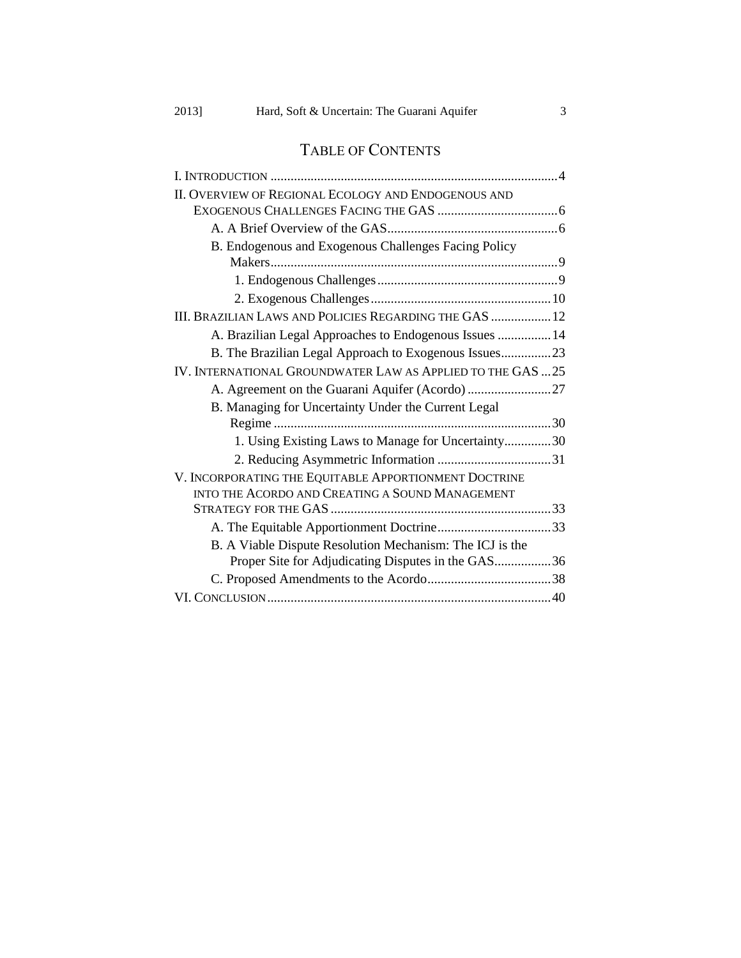## TABLE OF CONTENTS

| II. OVERVIEW OF REGIONAL ECOLOGY AND ENDOGENOUS AND         |  |
|-------------------------------------------------------------|--|
|                                                             |  |
|                                                             |  |
| B. Endogenous and Exogenous Challenges Facing Policy        |  |
|                                                             |  |
|                                                             |  |
|                                                             |  |
| III. BRAZILIAN LAWS AND POLICIES REGARDING THE GAS  12      |  |
| A. Brazilian Legal Approaches to Endogenous Issues  14      |  |
| B. The Brazilian Legal Approach to Exogenous Issues23       |  |
| IV. INTERNATIONAL GROUNDWATER LAW AS APPLIED TO THE GAS  25 |  |
|                                                             |  |
| B. Managing for Uncertainty Under the Current Legal         |  |
|                                                             |  |
| 1. Using Existing Laws to Manage for Uncertainty30          |  |
|                                                             |  |
| V. INCORPORATING THE EQUITABLE APPORTIONMENT DOCTRINE       |  |
| INTO THE ACORDO AND CREATING A SOUND MANAGEMENT             |  |
|                                                             |  |
|                                                             |  |
| B. A Viable Dispute Resolution Mechanism: The ICJ is the    |  |
| Proper Site for Adjudicating Disputes in the GAS36          |  |
|                                                             |  |
|                                                             |  |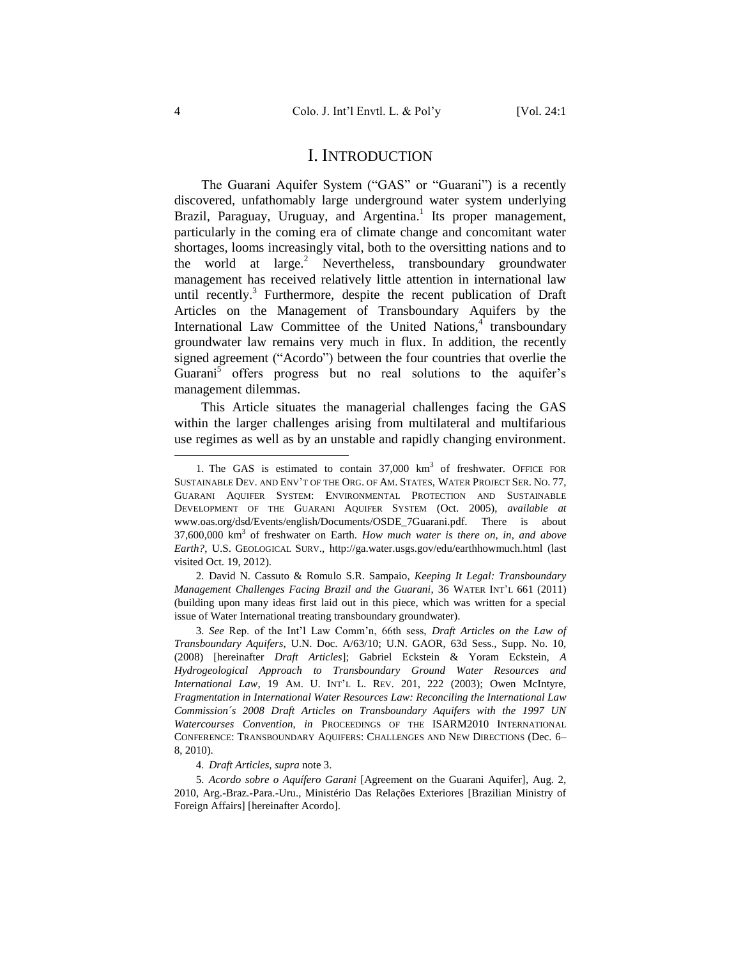### I. INTRODUCTION

<span id="page-4-1"></span><span id="page-4-0"></span>The Guarani Aquifer System ("GAS" or "Guarani") is a recently discovered, unfathomably large underground water system underlying Brazil, Paraguay, Uruguay, and Argentina.<sup>1</sup> Its proper management, particularly in the coming era of climate change and concomitant water shortages, looms increasingly vital, both to the oversitting nations and to the world at  $large.<sup>2</sup>$  Nevertheless, transboundary groundwater management has received relatively little attention in international law until recently.<sup>3</sup> Furthermore, despite the recent publication of Draft Articles on the Management of Transboundary Aquifers by the International Law Committee of the United Nations, $4$  transboundary groundwater law remains very much in flux. In addition, the recently signed agreement ("Acordo") between the four countries that overlie the Guarani<sup>5</sup> offers progress but no real solutions to the aquifer's management dilemmas.

<span id="page-4-2"></span>This Article situates the managerial challenges facing the GAS within the larger challenges arising from multilateral and multifarious use regimes as well as by an unstable and rapidly changing environment.

2*.* David N. Cassuto & Romulo S.R. Sampaio, *Keeping It Legal: Transboundary Management Challenges Facing Brazil and the Guarani*, 36 WATER INT'L 661 (2011) (building upon many ideas first laid out in this piece, which was written for a special issue of Water International treating transboundary groundwater).

3*. See* Rep. of the Int'l Law Comm'n, 66th sess, *Draft Articles on the Law of Transboundary Aquifers*, U.N. Doc. A/63/10; U.N. GAOR, 63d Sess., Supp. No. 10, (2008) [hereinafter *Draft Articles*]; Gabriel Eckstein & Yoram Eckstein, *A Hydrogeological Approach to Transboundary Ground Water Resources and International Law*, 19 AM. U. INT'L L. REV. 201, 222 (2003); Owen McIntyre, *Fragmentation in International Water Resources Law: Reconciling the International Law Commission´s 2008 Draft Articles on Transboundary Aquifers with the 1997 UN Watercourses Convention*, *in* PROCEEDINGS OF THE ISARM2010 INTERNATIONAL CONFERENCE: TRANSBOUNDARY AQUIFERS: CHALLENGES AND NEW DIRECTIONS (Dec. 6– 8, 2010).

4*. Draft Articles*, *supra* not[e 3.](#page-4-1)

5*. Acordo sobre o Aquífero Garani* [Agreement on the Guarani Aquifer], Aug. 2, 2010, Arg.-Braz.-Para.-Uru., Ministério Das Relações Exteriores [Brazilian Ministry of Foreign Affairs] [hereinafter Acordo].

<sup>1.</sup> The GAS is estimated to contain 37,000 km<sup>3</sup> of freshwater. OFFICE FOR SUSTAINABLE DEV. AND ENV'T OF THE ORG. OF AM. STATES, WATER PROJECT SER. NO. 77, GUARANI AQUIFER SYSTEM: ENVIRONMENTAL PROTECTION AND SUSTAINABLE DEVELOPMENT OF THE GUARANI AQUIFER SYSTEM (Oct. 2005), *available at*  www.oas.org/dsd/Events/english/Documents/OSDE\_7Guarani.pdf. There is about 37,600,000 km<sup>3</sup> of freshwater on Earth. *How much water is there on, in, and above Earth?*, U.S. GEOLOGICAL SURV., http://ga.water.usgs.gov/edu/earthhowmuch.html (last visited Oct. 19, 2012).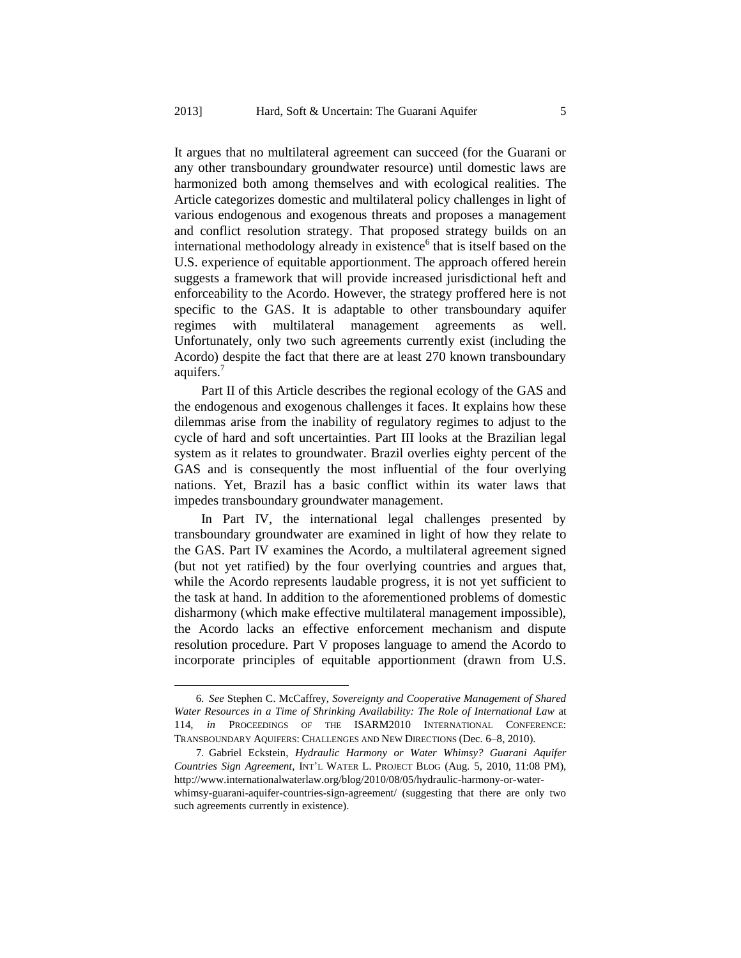<span id="page-5-0"></span>It argues that no multilateral agreement can succeed (for the Guarani or any other transboundary groundwater resource) until domestic laws are harmonized both among themselves and with ecological realities. The Article categorizes domestic and multilateral policy challenges in light of various endogenous and exogenous threats and proposes a management and conflict resolution strategy. That proposed strategy builds on an international methodology already in existence<sup>6</sup> that is itself based on the U.S. experience of equitable apportionment. The approach offered herein suggests a framework that will provide increased jurisdictional heft and enforceability to the Acordo. However, the strategy proffered here is not specific to the GAS. It is adaptable to other transboundary aquifer regimes with multilateral management agreements as well. Unfortunately, only two such agreements currently exist (including the Acordo) despite the fact that there are at least 270 known transboundary aquifers.<sup>7</sup>

Part II of this Article describes the regional ecology of the GAS and the endogenous and exogenous challenges it faces. It explains how these dilemmas arise from the inability of regulatory regimes to adjust to the cycle of hard and soft uncertainties. Part III looks at the Brazilian legal system as it relates to groundwater. Brazil overlies eighty percent of the GAS and is consequently the most influential of the four overlying nations. Yet, Brazil has a basic conflict within its water laws that impedes transboundary groundwater management.

In Part IV, the international legal challenges presented by transboundary groundwater are examined in light of how they relate to the GAS. Part IV examines the Acordo, a multilateral agreement signed (but not yet ratified) by the four overlying countries and argues that, while the Acordo represents laudable progress, it is not yet sufficient to the task at hand. In addition to the aforementioned problems of domestic disharmony (which make effective multilateral management impossible), the Acordo lacks an effective enforcement mechanism and dispute resolution procedure. Part V proposes language to amend the Acordo to incorporate principles of equitable apportionment (drawn from U.S.

<sup>6</sup>*. See* Stephen C. McCaffrey, *Sovereignty and Cooperative Management of Shared Water Resources in a Time of Shrinking Availability: The Role of International Law* at 114, *in* PROCEEDINGS OF THE ISARM2010 INTERNATIONAL CONFERENCE: TRANSBOUNDARY AQUIFERS: CHALLENGES AND NEW DIRECTIONS (Dec. 6–8, 2010).

<sup>7</sup>*.* Gabriel Eckstein, *Hydraulic Harmony or Water Whimsy? Guarani Aquifer Countries Sign Agreement*, INT'L WATER L. PROJECT BLOG (Aug. 5, 2010, 11:08 PM), http://www.internationalwaterlaw.org/blog/2010/08/05/hydraulic-harmony-or-waterwhimsy-guarani-aquifer-countries-sign-agreement/ (suggesting that there are only two such agreements currently in existence).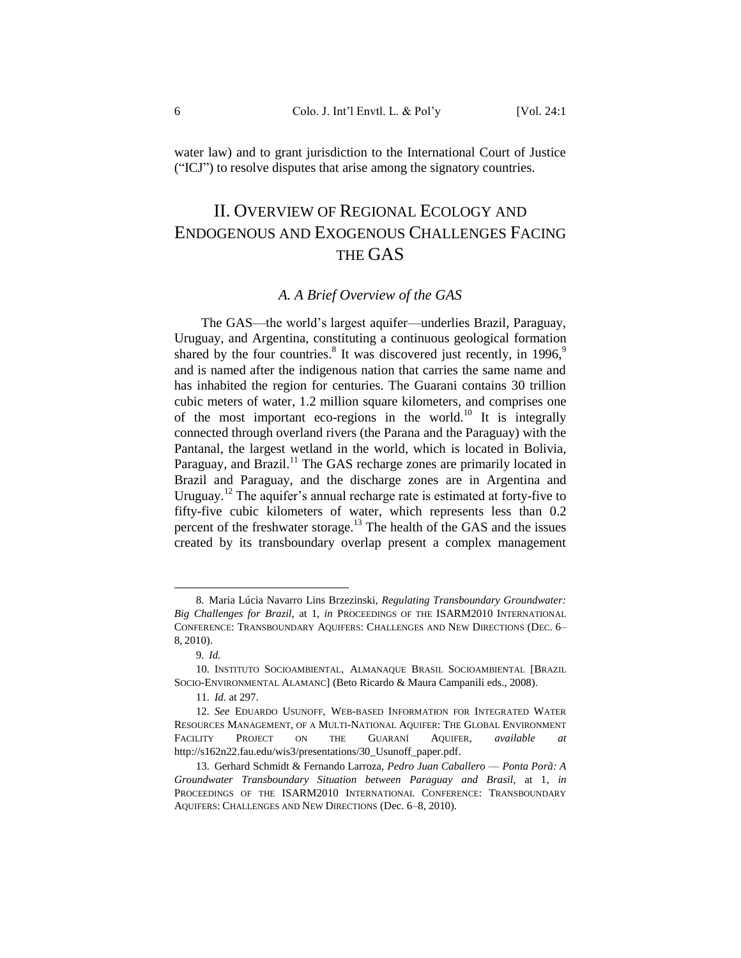water law) and to grant jurisdiction to the International Court of Justice ("ICJ") to resolve disputes that arise among the signatory countries.

# <span id="page-6-0"></span>II. OVERVIEW OF REGIONAL ECOLOGY AND ENDOGENOUS AND EXOGENOUS CHALLENGES FACING THE GAS

### <span id="page-6-3"></span>*A. A Brief Overview of the GAS*

<span id="page-6-1"></span>The GAS—the world's largest aquifer—underlies Brazil, Paraguay, Uruguay, and Argentina, constituting a continuous geological formation shared by the four countries.<sup>8</sup> It was discovered just recently, in 1996,<sup>9</sup> and is named after the indigenous nation that carries the same name and has inhabited the region for centuries. The Guarani contains 30 trillion cubic meters of water, 1.2 million square kilometers, and comprises one of the most important eco-regions in the world.<sup>10</sup> It is integrally connected through overland rivers (the Parana and the Paraguay) with the Pantanal, the largest wetland in the world, which is located in Bolivia, Paraguay, and Brazil.<sup>11</sup> The GAS recharge zones are primarily located in Brazil and Paraguay, and the discharge zones are in Argentina and Uruguay.<sup>12</sup> The aquifer's annual recharge rate is estimated at forty-five to fifty-five cubic kilometers of water, which represents less than 0.2 percent of the freshwater storage.<sup>13</sup> The health of the GAS and the issues created by its transboundary overlap present a complex management

<span id="page-6-2"></span><sup>8</sup>*.* Maria Lúcia Navarro Lins Brzezinski, *Regulating Transboundary Groundwater: Big Challenges for Brazil*, at 1, *in* PROCEEDINGS OF THE ISARM2010 INTERNATIONAL CONFERENCE: TRANSBOUNDARY AQUIFERS: CHALLENGES AND NEW DIRECTIONS (DEC. 6– 8, 2010).

<sup>9</sup>*. Id.*

<sup>10</sup>*.* INSTITUTO SOCIOAMBIENTAL, ALMANAQUE BRASIL SOCIOAMBIENTAL [BRAZIL SOCIO-ENVIRONMENTAL ALAMANC] (Beto Ricardo & Maura Campanili eds., 2008).

<sup>11</sup>*. Id.* at 297.

<sup>12</sup>*. See* EDUARDO USUNOFF, WEB-BASED INFORMATION FOR INTEGRATED WATER RESOURCES MANAGEMENT, OF A MULTI-NATIONAL AQUIFER: THE GLOBAL ENVIRONMENT FACILITY PROJECT ON THE GUARANÍ AQUIFER, *available at* http://s162n22.fau.edu/wis3/presentations/30\_Usunoff\_paper.pdf.

<sup>13</sup>*.* Gerhard Schmidt & Fernando Larroza, *Pedro Juan Caballero –– Ponta Porã: A Groundwater Transboundary Situation between Paraguay and Brasil*, at 1, *in*  PROCEEDINGS OF THE ISARM2010 INTERNATIONAL CONFERENCE: TRANSBOUNDARY AQUIFERS: CHALLENGES AND NEW DIRECTIONS (Dec. 6–8, 2010).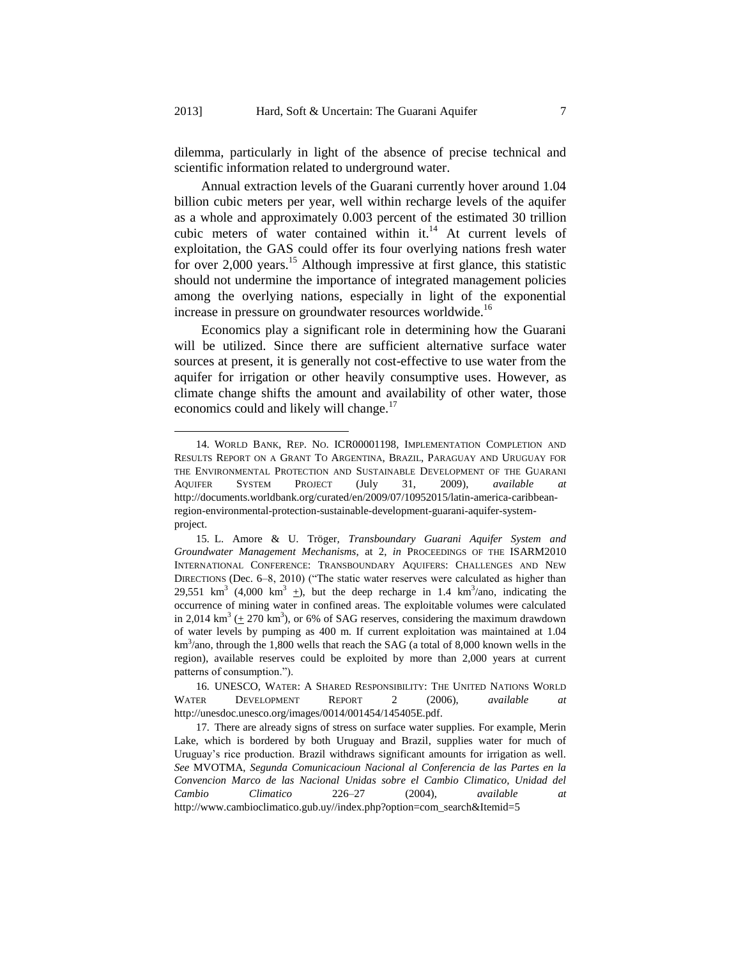dilemma, particularly in light of the absence of precise technical and scientific information related to underground water.

<span id="page-7-1"></span>Annual extraction levels of the Guarani currently hover around 1.04 billion cubic meters per year, well within recharge levels of the aquifer as a whole and approximately 0.003 percent of the estimated 30 trillion cubic meters of water contained within it. $14$  At current levels of exploitation, the GAS could offer its four overlying nations fresh water for over 2,000 years.<sup>15</sup> Although impressive at first glance, this statistic should not undermine the importance of integrated management policies among the overlying nations, especially in light of the exponential increase in pressure on groundwater resources worldwide.<sup>16</sup>

<span id="page-7-0"></span>Economics play a significant role in determining how the Guarani will be utilized. Since there are sufficient alternative surface water sources at present, it is generally not cost-effective to use water from the aquifer for irrigation or other heavily consumptive uses. However, as climate change shifts the amount and availability of other water, those economics could and likely will change.<sup>17</sup>

 $\overline{a}$ 

<sup>14</sup>*.* WORLD BANK, REP. NO. ICR00001198, IMPLEMENTATION COMPLETION AND RESULTS REPORT ON A GRANT TO ARGENTINA, BRAZIL, PARAGUAY AND URUGUAY FOR THE ENVIRONMENTAL PROTECTION AND SUSTAINABLE DEVELOPMENT OF THE GUARANI AQUIFER SYSTEM PROJECT (July 31, 2009), *available at* http://documents.worldbank.org/curated/en/2009/07/10952015/latin-america-caribbeanregion-environmental-protection-sustainable-development-guarani-aquifer-systemproject.

<sup>15</sup>*.* L. Amore & U. Tröger*, Transboundary Guarani Aquifer System and Groundwater Management Mechanisms*, at 2, *in* PROCEEDINGS OF THE ISARM2010 INTERNATIONAL CONFERENCE: TRANSBOUNDARY AQUIFERS: CHALLENGES AND NEW DIRECTIONS (Dec. 6–8, 2010) ("The static water reserves were calculated as higher than 29,551 km<sup>3</sup> (4,000 km<sup>3</sup>  $\pm$ ), but the deep recharge in 1.4 km<sup>3</sup>/ano, indicating the occurrence of mining water in confined areas. The exploitable volumes were calculated in 2,014 km<sup>3</sup> ( $\pm$  270 km<sup>3</sup>), or 6% of SAG reserves, considering the maximum drawdown of water levels by pumping as 400 m. If current exploitation was maintained at 1.04  $km<sup>3</sup>/ano$ , through the 1,800 wells that reach the SAG (a total of 8,000 known wells in the region), available reserves could be exploited by more than 2,000 years at current patterns of consumption.").

<sup>16</sup>*.* UNESCO, WATER: A SHARED RESPONSIBILITY: THE UNITED NATIONS WORLD WATER DEVELOPMENT REPORT 2 (2006), *available at* http://unesdoc.unesco.org/images/0014/001454/145405E.pdf.

<sup>17</sup>*.* There are already signs of stress on surface water supplies. For example, Merin Lake, which is bordered by both Uruguay and Brazil, supplies water for much of Uruguay's rice production. Brazil withdraws significant amounts for irrigation as well. *See* MVOTMA, *Segunda Comunicacioun Nacional al Conferencia de las Partes en la Convencion Marco de las Nacional Unidas sobre el Cambio Climatico, Unidad del Cambio Climatico* 226–27 (2004), *available at*  http://www.cambioclimatico.gub.uy//index.php?option=com\_search&Itemid=5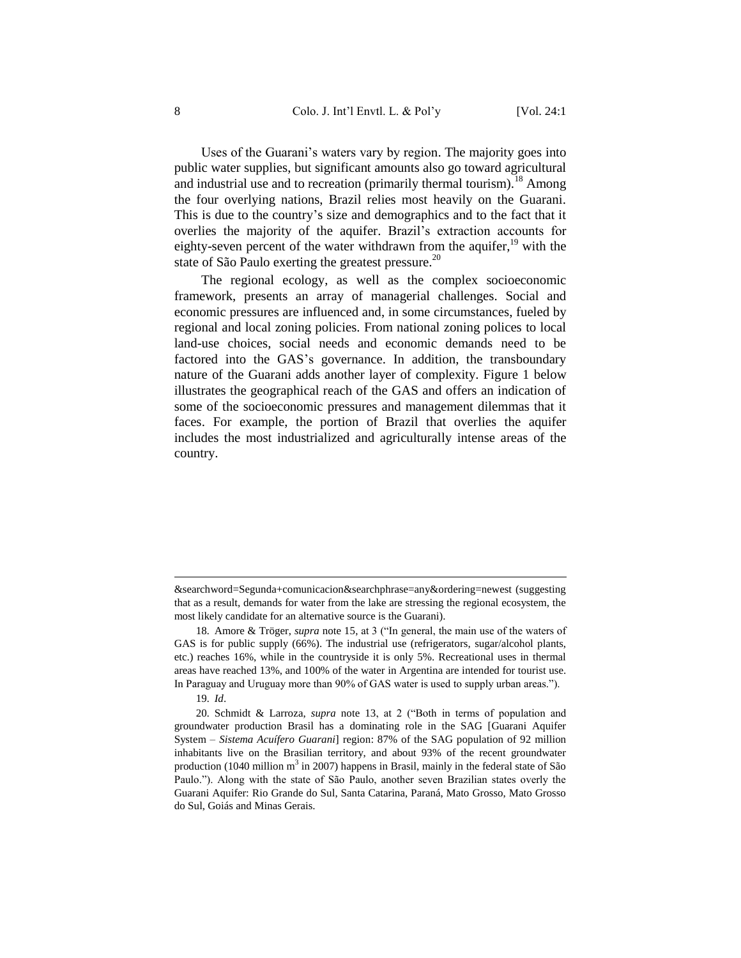Uses of the Guarani's waters vary by region. The majority goes into public water supplies, but significant amounts also go toward agricultural and industrial use and to recreation (primarily thermal tourism).<sup>18</sup> Among the four overlying nations, Brazil relies most heavily on the Guarani. This is due to the country's size and demographics and to the fact that it overlies the majority of the aquifer. Brazil's extraction accounts for eighty-seven percent of the water withdrawn from the aquifer,<sup>19</sup> with the state of São Paulo exerting the greatest pressure.<sup>20</sup>

The regional ecology, as well as the complex socioeconomic framework, presents an array of managerial challenges. Social and economic pressures are influenced and, in some circumstances, fueled by regional and local zoning policies. From national zoning polices to local land-use choices, social needs and economic demands need to be factored into the GAS's governance. In addition, the transboundary nature of the Guarani adds another layer of complexity. Figure 1 below illustrates the geographical reach of the GAS and offers an indication of some of the socioeconomic pressures and management dilemmas that it faces. For example, the portion of Brazil that overlies the aquifer includes the most industrialized and agriculturally intense areas of the country.

<sup>&</sup>amp;searchword=Segunda+comunicacion&searchphrase=any&ordering=newest (suggesting that as a result, demands for water from the lake are stressing the regional ecosystem, the most likely candidate for an alternative source is the Guarani).

<sup>18</sup>*.* Amore & Tröger, *supra* not[e 15,](#page-7-0) at 3 ("In general, the main use of the waters of GAS is for public supply (66%). The industrial use (refrigerators, sugar/alcohol plants, etc.) reaches 16%, while in the countryside it is only 5%. Recreational uses in thermal areas have reached 13%, and 100% of the water in Argentina are intended for tourist use. In Paraguay and Uruguay more than 90% of GAS water is used to supply urban areas.").

<sup>19</sup>*. Id*.

<sup>20</sup>*.* Schmidt & Larroza, *supra* note [13,](#page-6-2) at 2 ("Both in terms of population and groundwater production Brasil has a dominating role in the SAG [Guarani Aquifer System – *Sistema Acuífero Guarani*] region: 87% of the SAG population of 92 million inhabitants live on the Brasilian territory, and about 93% of the recent groundwater production (1040 million  $m^3$  in 2007) happens in Brasil, mainly in the federal state of São Paulo."). Along with the state of São Paulo, another seven Brazilian states overly the Guarani Aquifer: Rio Grande do Sul, Santa Catarina, Paraná, Mato Grosso, Mato Grosso do Sul, Goiás and Minas Gerais.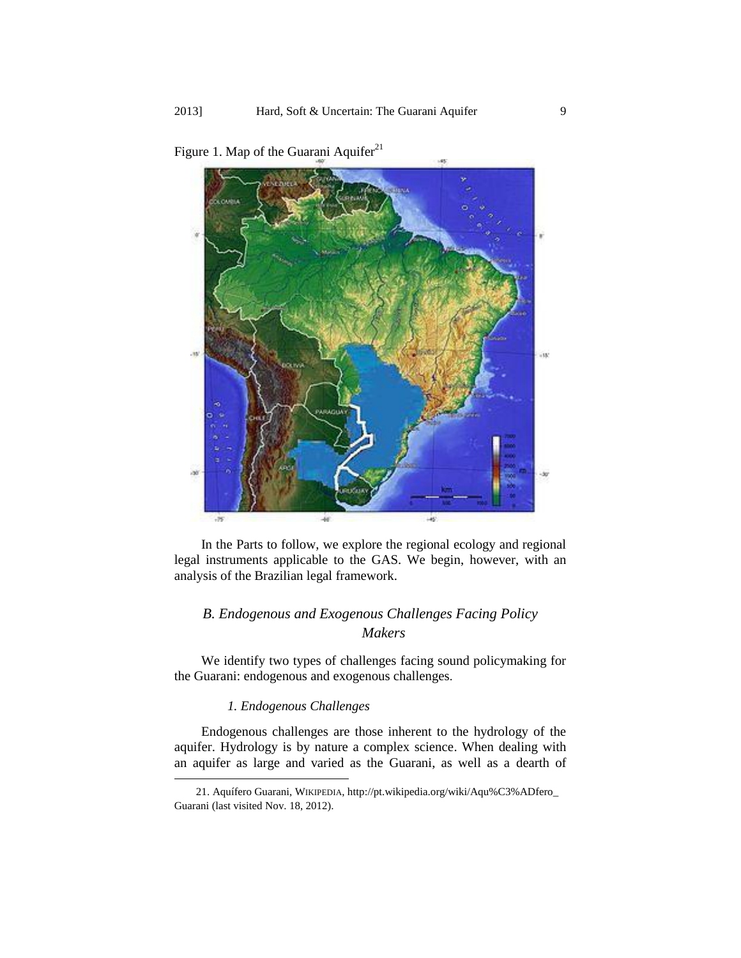

Figure 1. Map of the Guarani Aquifer<sup>21</sup>

In the Parts to follow, we explore the regional ecology and regional legal instruments applicable to the GAS. We begin, however, with an analysis of the Brazilian legal framework.

### <span id="page-9-0"></span>*B. Endogenous and Exogenous Challenges Facing Policy Makers*

<span id="page-9-1"></span>We identify two types of challenges facing sound policymaking for the Guarani: endogenous and exogenous challenges.

### *1. Endogenous Challenges*

 $\overline{a}$ 

Endogenous challenges are those inherent to the hydrology of the aquifer. Hydrology is by nature a complex science. When dealing with an aquifer as large and varied as the Guarani, as well as a dearth of

<sup>21.</sup> Aquífero Guarani, WIKIPEDIA, http://pt.wikipedia.org/wiki/Aqu%C3%ADfero\_ Guarani (last visited Nov. 18, 2012).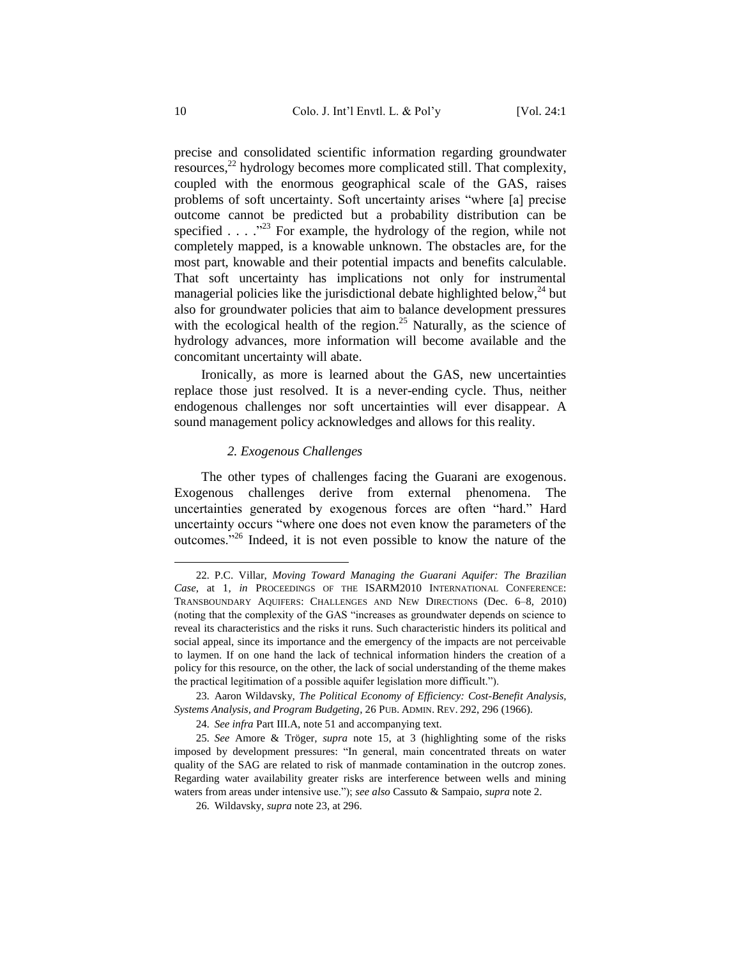<span id="page-10-2"></span><span id="page-10-1"></span>precise and consolidated scientific information regarding groundwater resources,<sup>22</sup> hydrology becomes more complicated still. That complexity, coupled with the enormous geographical scale of the GAS, raises problems of soft uncertainty. Soft uncertainty arises "where [a] precise outcome cannot be predicted but a probability distribution can be specified  $\ldots$  . . ...<sup>223</sup> For example, the hydrology of the region, while not completely mapped, is a knowable unknown. The obstacles are, for the most part, knowable and their potential impacts and benefits calculable. That soft uncertainty has implications not only for instrumental managerial policies like the jurisdictional debate highlighted below,<sup>24</sup> but also for groundwater policies that aim to balance development pressures with the ecological health of the region.<sup>25</sup> Naturally, as the science of hydrology advances, more information will become available and the concomitant uncertainty will abate.

Ironically, as more is learned about the GAS, new uncertainties replace those just resolved. It is a never-ending cycle. Thus, neither endogenous challenges nor soft uncertainties will ever disappear. A sound management policy acknowledges and allows for this reality.

#### *2. Exogenous Challenges*

<span id="page-10-0"></span>The other types of challenges facing the Guarani are exogenous. Exogenous challenges derive from external phenomena. The uncertainties generated by exogenous forces are often "hard." Hard uncertainty occurs "where one does not even know the parameters of the outcomes."<sup>26</sup> Indeed, it is not even possible to know the nature of the

<sup>22</sup>*.* P.C. Villar, *Moving Toward Managing the Guarani Aquifer: The Brazilian Case*, at 1, *in* PROCEEDINGS OF THE ISARM2010 INTERNATIONAL CONFERENCE: TRANSBOUNDARY AQUIFERS: CHALLENGES AND NEW DIRECTIONS (Dec. 6–8, 2010) (noting that the complexity of the GAS "increases as groundwater depends on science to reveal its characteristics and the risks it runs. Such characteristic hinders its political and social appeal, since its importance and the emergency of the impacts are not perceivable to laymen. If on one hand the lack of technical information hinders the creation of a policy for this resource, on the other, the lack of social understanding of the theme makes the practical legitimation of a possible aquifer legislation more difficult.").

<sup>23</sup>*.* Aaron Wildavsky, *The Political Economy of Efficiency: Cost-Benefit Analysis, Systems Analysis, and Program Budgeting*, 26 PUB. ADMIN. REV. 292, 296 (1966).

<sup>24</sup>*. See infra* Part III.A, note 51 and accompanying text.

<sup>25</sup>*. See* Amore & Tröger*, supra* note [15,](#page-7-0) at 3 (highlighting some of the risks imposed by development pressures: "In general, main concentrated threats on water quality of the SAG are related to risk of manmade contamination in the outcrop zones. Regarding water availability greater risks are interference between wells and mining waters from areas under intensive use."); *see also* Cassuto & Sampaio, *supra* note 2.

<sup>26</sup>*.* Wildavsky, *supra* not[e 23,](#page-10-1) at 296.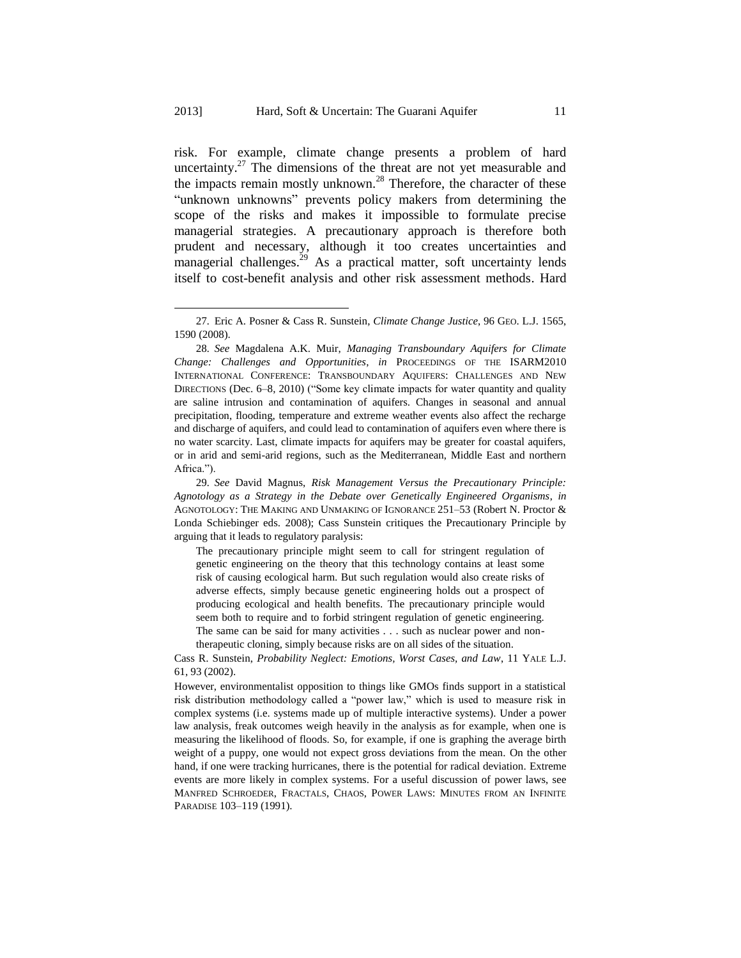risk. For example, climate change presents a problem of hard uncertainty.<sup>27</sup> The dimensions of the threat are not yet measurable and the impacts remain mostly unknown.<sup>28</sup> Therefore, the character of these "unknown unknowns" prevents policy makers from determining the scope of the risks and makes it impossible to formulate precise managerial strategies. A precautionary approach is therefore both prudent and necessary, although it too creates uncertainties and managerial challenges.<sup>29</sup> As a practical matter, soft uncertainty lends itself to cost-benefit analysis and other risk assessment methods. Hard

 $\overline{a}$ 

The precautionary principle might seem to call for stringent regulation of genetic engineering on the theory that this technology contains at least some risk of causing ecological harm. But such regulation would also create risks of adverse effects, simply because genetic engineering holds out a prospect of producing ecological and health benefits. The precautionary principle would seem both to require and to forbid stringent regulation of genetic engineering. The same can be said for many activities . . . such as nuclear power and non-

therapeutic cloning, simply because risks are on all sides of the situation.

Cass R. Sunstein, *Probability Neglect: Emotions, Worst Cases, and Law*, 11 YALE L.J. 61, 93 (2002).

However, environmentalist opposition to things like GMOs finds support in a statistical risk distribution methodology called a "power law," which is used to measure risk in complex systems (i.e. systems made up of multiple interactive systems). Under a power law analysis, freak outcomes weigh heavily in the analysis as for example, when one is measuring the likelihood of floods. So, for example, if one is graphing the average birth weight of a puppy, one would not expect gross deviations from the mean. On the other hand, if one were tracking hurricanes, there is the potential for radical deviation. Extreme events are more likely in complex systems. For a useful discussion of power laws, see MANFRED SCHROEDER, FRACTALS, CHAOS, POWER LAWS: MINUTES FROM AN INFINITE PARADISE 103–119 (1991).

<sup>27</sup>*.* Eric A. Posner & Cass R. Sunstein, *Climate Change Justice*, 96 GEO. L.J. 1565, 1590 (2008).

<sup>28</sup>*. See* Magdalena A.K. Muir, *Managing Transboundary Aquifers for Climate Change: Challenges and Opportunities*, *in* PROCEEDINGS OF THE ISARM2010 INTERNATIONAL CONFERENCE: TRANSBOUNDARY AQUIFERS: CHALLENGES AND NEW DIRECTIONS (Dec. 6–8, 2010) ("Some key climate impacts for water quantity and quality are saline intrusion and contamination of aquifers. Changes in seasonal and annual precipitation, flooding, temperature and extreme weather events also affect the recharge and discharge of aquifers, and could lead to contamination of aquifers even where there is no water scarcity. Last, climate impacts for aquifers may be greater for coastal aquifers, or in arid and semi-arid regions, such as the Mediterranean, Middle East and northern Africa.").

<sup>29</sup>*. See* David Magnus, *Risk Management Versus the Precautionary Principle: Agnotology as a Strategy in the Debate over Genetically Engineered Organisms*, *in*  AGNOTOLOGY: THE MAKING AND UNMAKING OF IGNORANCE 251–53 (Robert N. Proctor & Londa Schiebinger eds. 2008); Cass Sunstein critiques the Precautionary Principle by arguing that it leads to regulatory paralysis: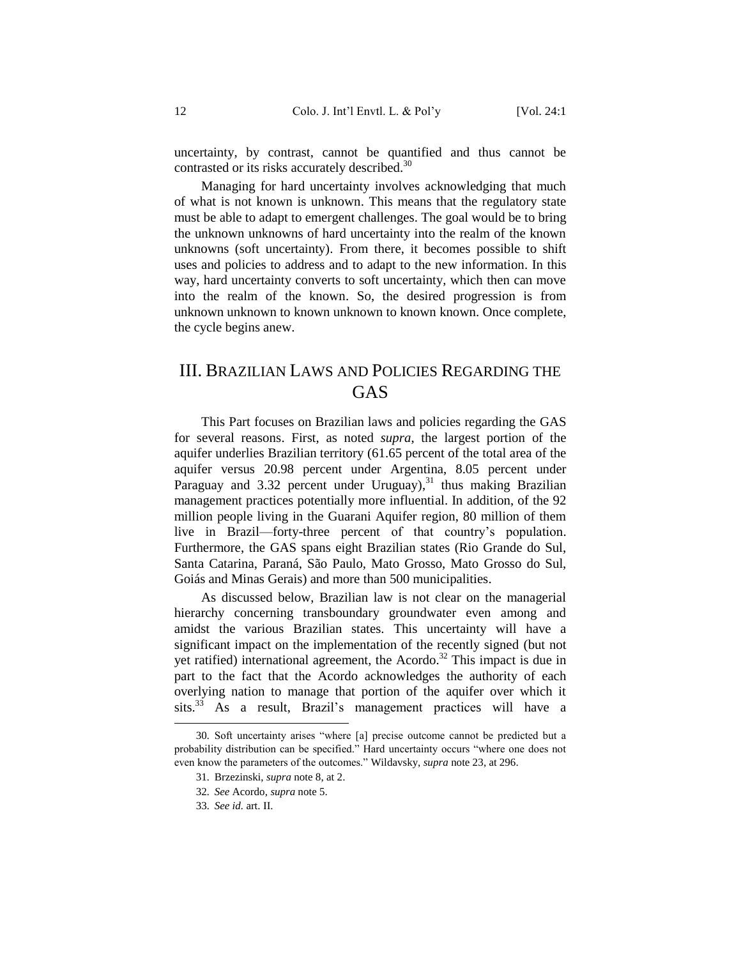uncertainty, by contrast, cannot be quantified and thus cannot be contrasted or its risks accurately described.<sup>30</sup>

Managing for hard uncertainty involves acknowledging that much of what is not known is unknown. This means that the regulatory state must be able to adapt to emergent challenges. The goal would be to bring the unknown unknowns of hard uncertainty into the realm of the known unknowns (soft uncertainty). From there, it becomes possible to shift uses and policies to address and to adapt to the new information. In this way, hard uncertainty converts to soft uncertainty, which then can move into the realm of the known. So, the desired progression is from unknown unknown to known unknown to known known. Once complete, the cycle begins anew.

### <span id="page-12-0"></span>III. BRAZILIAN LAWS AND POLICIES REGARDING THE **GAS**

This Part focuses on Brazilian laws and policies regarding the GAS for several reasons. First, as noted *supra*, the largest portion of the aquifer underlies Brazilian territory (61.65 percent of the total area of the aquifer versus 20.98 percent under Argentina, 8.05 percent under Paraguay and 3.32 percent under Uruguay),<sup>31</sup> thus making Brazilian management practices potentially more influential. In addition, of the 92 million people living in the Guarani Aquifer region, 80 million of them live in Brazil—forty-three percent of that country's population. Furthermore, the GAS spans eight Brazilian states (Rio Grande do Sul, Santa Catarina, Paraná, São Paulo, Mato Grosso, Mato Grosso do Sul, Goiás and Minas Gerais) and more than 500 municipalities.

As discussed below, Brazilian law is not clear on the managerial hierarchy concerning transboundary groundwater even among and amidst the various Brazilian states. This uncertainty will have a significant impact on the implementation of the recently signed (but not yet ratified) international agreement, the Acordo.<sup>32</sup> This impact is due in part to the fact that the Acordo acknowledges the authority of each overlying nation to manage that portion of the aquifer over which it sits.<sup>33</sup> As a result, Brazil's management practices will have a

 $\overline{a}$ 

<sup>30</sup>*.* Soft uncertainty arises "where [a] precise outcome cannot be predicted but a probability distribution can be specified." Hard uncertainty occurs "where one does not even know the parameters of the outcomes." Wildavsky, *supra* note [23,](#page-10-1) at 296.

<sup>31</sup>*.* Brzezinski, *supra* not[e 8,](#page-6-3) at 2.

<sup>32</sup>*. See* Acordo, *supra* note [5.](#page-4-2) 

<sup>33</sup>*. See id.* art. II.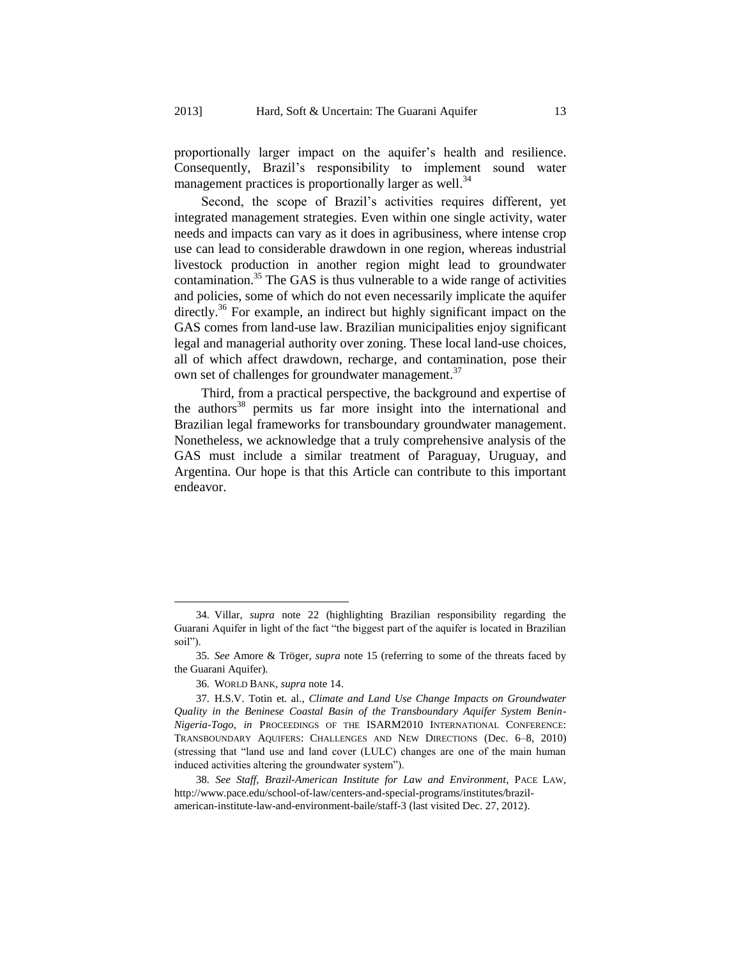proportionally larger impact on the aquifer's health and resilience. Consequently, Brazil's responsibility to implement sound water management practices is proportionally larger as well.<sup>34</sup>

Second, the scope of Brazil's activities requires different, yet integrated management strategies. Even within one single activity, water needs and impacts can vary as it does in agribusiness, where intense crop use can lead to considerable drawdown in one region, whereas industrial livestock production in another region might lead to groundwater contamination. $35$  The GAS is thus vulnerable to a wide range of activities and policies, some of which do not even necessarily implicate the aquifer directly.<sup>36</sup> For example, an indirect but highly significant impact on the GAS comes from land-use law. Brazilian municipalities enjoy significant legal and managerial authority over zoning. These local land-use choices, all of which affect drawdown, recharge, and contamination, pose their own set of challenges for groundwater management.<sup>37</sup>

Third, from a practical perspective, the background and expertise of the authors<sup>38</sup> permits us far more insight into the international and Brazilian legal frameworks for transboundary groundwater management. Nonetheless, we acknowledge that a truly comprehensive analysis of the GAS must include a similar treatment of Paraguay, Uruguay, and Argentina. Our hope is that this Article can contribute to this important endeavor.

<sup>34</sup>*.* Villar, *supra* note [22](#page-10-2) (highlighting Brazilian responsibility regarding the Guarani Aquifer in light of the fact "the biggest part of the aquifer is located in Brazilian soil").

<sup>35</sup>*. See* Amore & Tröger*, supra* note [15](#page-7-0) (referring to some of the threats faced by the Guarani Aquifer).

<sup>36</sup>*.* WORLD BANK, *supra* not[e 14.](#page-7-1)

<sup>37</sup>*.* H.S.V. Totin et. al., *Climate and Land Use Change Impacts on Groundwater Quality in the Beninese Coastal Basin of the Transboundary Aquifer System Benin-Nigeria-Togo*, *in* PROCEEDINGS OF THE ISARM2010 INTERNATIONAL CONFERENCE: TRANSBOUNDARY AQUIFERS: CHALLENGES AND NEW DIRECTIONS (Dec. 6–8, 2010) (stressing that "land use and land cover (LULC) changes are one of the main human induced activities altering the groundwater system").

<sup>38</sup>*. See Staff*, *Brazil-American Institute for Law and Environment*, PACE LAW, http://www.pace.edu/school-of-law/centers-and-special-programs/institutes/brazilamerican-institute-law-and-environment-baile/staff-3 (last visited Dec. 27, 2012).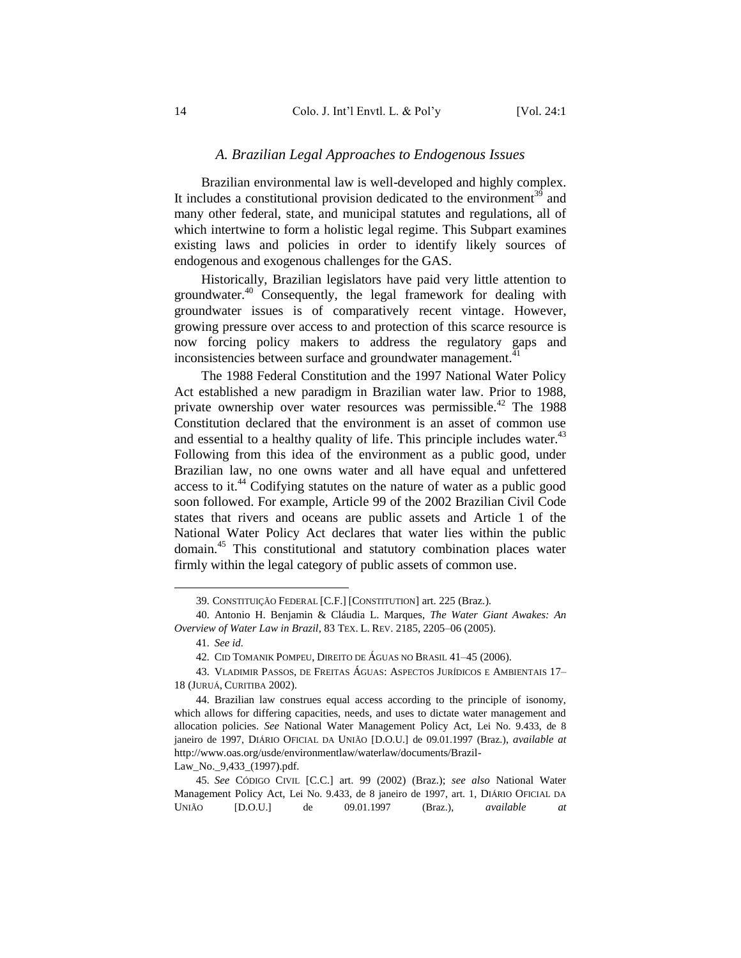#### *A. Brazilian Legal Approaches to Endogenous Issues*

<span id="page-14-0"></span>Brazilian environmental law is well-developed and highly complex. It includes a constitutional provision dedicated to the environment $39$  and many other federal, state, and municipal statutes and regulations, all of which intertwine to form a holistic legal regime. This Subpart examines existing laws and policies in order to identify likely sources of endogenous and exogenous challenges for the GAS.

<span id="page-14-2"></span>Historically, Brazilian legislators have paid very little attention to groundwater.<sup>40</sup> Consequently, the legal framework for dealing with groundwater issues is of comparatively recent vintage. However, growing pressure over access to and protection of this scarce resource is now forcing policy makers to address the regulatory gaps and inconsistencies between surface and groundwater management.<sup>41</sup>

<span id="page-14-1"></span>The 1988 Federal Constitution and the 1997 National Water Policy Act established a new paradigm in Brazilian water law. Prior to 1988, private ownership over water resources was permissible.<sup>42</sup> The 1988 Constitution declared that the environment is an asset of common use and essential to a healthy quality of life. This principle includes water. $43$ Following from this idea of the environment as a public good, under Brazilian law, no one owns water and all have equal and unfettered access to it.<sup>44</sup> Codifying statutes on the nature of water as a public good soon followed. For example, Article 99 of the 2002 Brazilian Civil Code states that rivers and oceans are public assets and Article 1 of the National Water Policy Act declares that water lies within the public domain.<sup>45</sup> This constitutional and statutory combination places water firmly within the legal category of public assets of common use.

l

Law\_No.\_9,433\_(1997).pdf.

<sup>39</sup>*.* CONSTITUIÇÃO FEDERAL [C.F.] [CONSTITUTION] art. 225 (Braz.).

<sup>40</sup>*.* Antonio H. Benjamin & Cláudia L. Marques, *The Water Giant Awakes: An Overview of Water Law in Brazil*, 83 TEX. L. REV. 2185, 2205–06 (2005).

<sup>41</sup>*. See id.*

<sup>42</sup>*.* CID TOMANIK POMPEU, DIREITO DE ÁGUAS NO BRASIL 41–45 (2006).

<sup>43</sup>*.* VLADIMIR PASSOS, DE FREITAS ÁGUAS: ASPECTOS JURÍDICOS E AMBIENTAIS 17– 18 (JURUÁ, CURITIBA 2002).

<sup>44</sup>*.* Brazilian law construes equal access according to the principle of isonomy, which allows for differing capacities, needs, and uses to dictate water management and allocation policies. *See* National Water Management Policy Act, Lei No. 9.433, de 8 janeiro de 1997, DIÁRIO OFICIAL DA UNIÃO [D.O.U.] de 09.01.1997 (Braz.), *available at*  http://www.oas.org/usde/environmentlaw/waterlaw/documents/Brazil-

<sup>45</sup>*. See* CÓDIGO CIVIL [C.C.] art. 99 (2002) (Braz.); *see also* National Water Management Policy Act, Lei No. 9.433, de 8 janeiro de 1997, art. 1, DIÁRIO OFICIAL DA UNIÃO [D.O.U.] de 09.01.1997 (Braz.), *available at*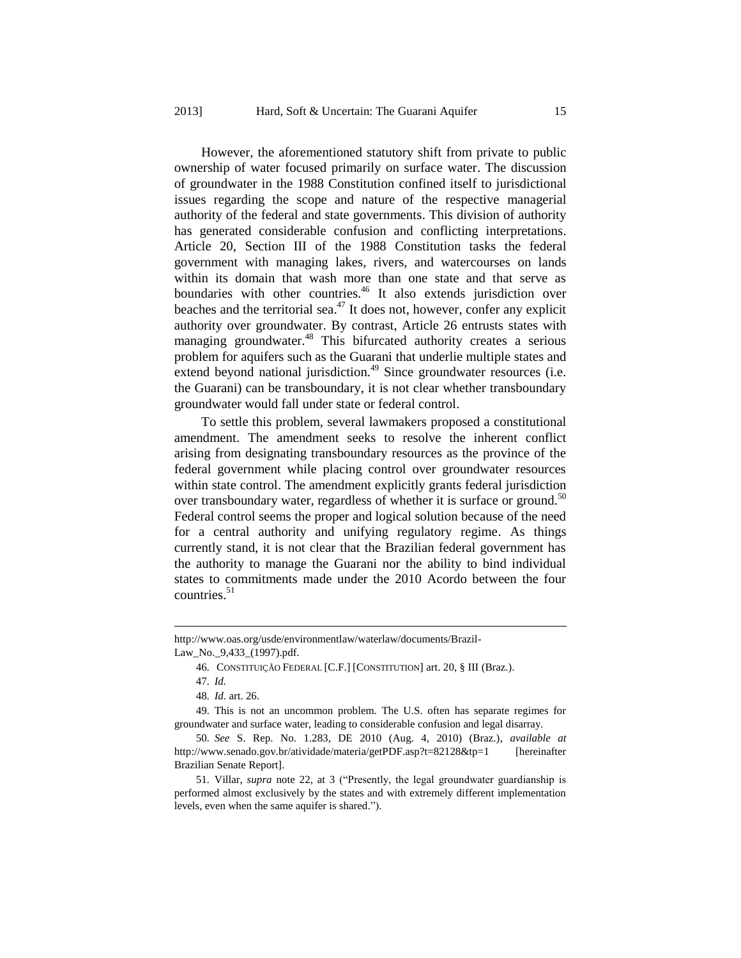However, the aforementioned statutory shift from private to public ownership of water focused primarily on surface water. The discussion of groundwater in the 1988 Constitution confined itself to jurisdictional issues regarding the scope and nature of the respective managerial authority of the federal and state governments. This division of authority has generated considerable confusion and conflicting interpretations. Article 20, Section III of the 1988 Constitution tasks the federal government with managing lakes, rivers, and watercourses on lands within its domain that wash more than one state and that serve as boundaries with other countries.<sup>46</sup> It also extends jurisdiction over beaches and the territorial sea.<sup>47</sup> It does not, however, confer any explicit authority over groundwater. By contrast, Article 26 entrusts states with managing groundwater.<sup>48</sup> This bifurcated authority creates a serious problem for aquifers such as the Guarani that underlie multiple states and extend beyond national jurisdiction.<sup>49</sup> Since groundwater resources (i.e. the Guarani) can be transboundary, it is not clear whether transboundary groundwater would fall under state or federal control.

<span id="page-15-0"></span>To settle this problem, several lawmakers proposed a constitutional amendment. The amendment seeks to resolve the inherent conflict arising from designating transboundary resources as the province of the federal government while placing control over groundwater resources within state control. The amendment explicitly grants federal jurisdiction over transboundary water, regardless of whether it is surface or ground.<sup>50</sup> Federal control seems the proper and logical solution because of the need for a central authority and unifying regulatory regime. As things currently stand, it is not clear that the Brazilian federal government has the authority to manage the Guarani nor the ability to bind individual states to commitments made under the 2010 Acordo between the four countries. $51$ 

http://www.oas.org/usde/environmentlaw/waterlaw/documents/Brazil-

Law No. 9,433 (1997).pdf.

<sup>46</sup>*.* CONSTITUIÇÃO FEDERAL [C.F.] [CONSTITUTION] art. 20, § III (Braz.).

<sup>47</sup>*. Id.* 

<sup>48</sup>*. Id.* art. 26.

<sup>49</sup>*.* This is not an uncommon problem. The U.S. often has separate regimes for groundwater and surface water, leading to considerable confusion and legal disarray.

<sup>50</sup>*. See* S. Rep. No. 1.283, DE 2010 (Aug. 4, 2010) (Braz.), *available at*  http://www.senado.gov.br/atividade/materia/getPDF.asp?t=82128&tp=1 [hereinafter Brazilian Senate Report].

<sup>51</sup>*.* Villar, *supra* note [22,](#page-10-2) at 3 ("Presently, the legal groundwater guardianship is performed almost exclusively by the states and with extremely different implementation levels, even when the same aquifer is shared.").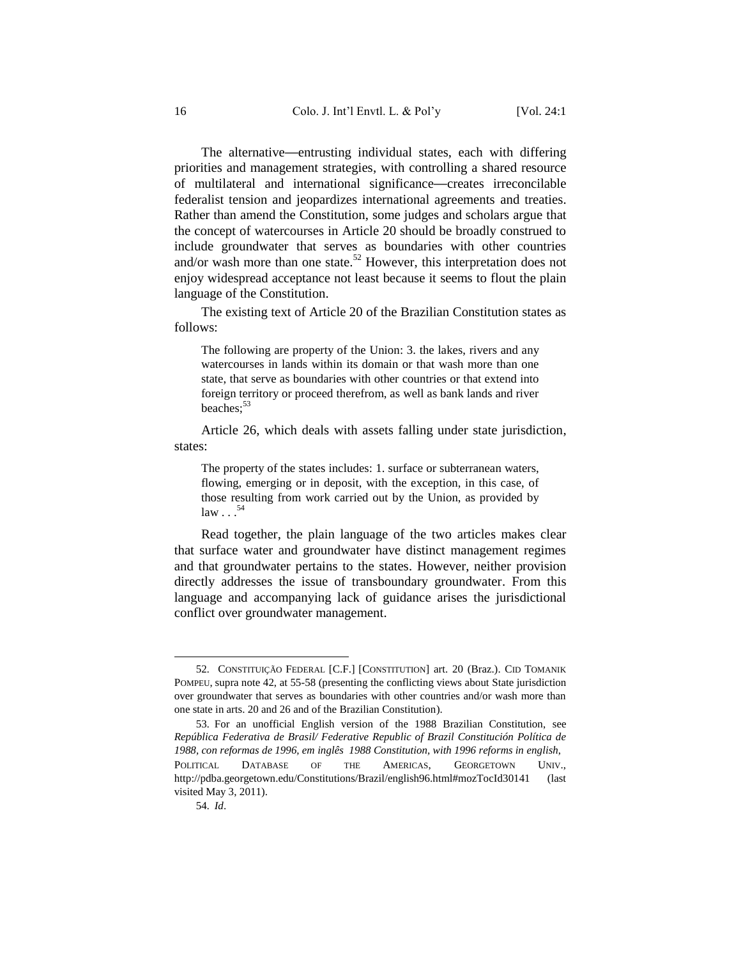The alternative—entrusting individual states, each with differing priorities and management strategies, with controlling a shared resource of multilateral and international significance—creates irreconcilable federalist tension and jeopardizes international agreements and treaties. Rather than amend the Constitution, some judges and scholars argue that the concept of watercourses in Article 20 should be broadly construed to include groundwater that serves as boundaries with other countries and/or wash more than one state.<sup>52</sup> However, this interpretation does not enjoy widespread acceptance not least because it seems to flout the plain language of the Constitution.

The existing text of Article 20 of the Brazilian Constitution states as follows:

The following are property of the Union: 3. the lakes, rivers and any watercourses in lands within its domain or that wash more than one state, that serve as boundaries with other countries or that extend into foreign territory or proceed therefrom, as well as bank lands and river beaches:<sup>53</sup>

Article 26, which deals with assets falling under state jurisdiction, states:

The property of the states includes: 1. surface or subterranean waters, flowing, emerging or in deposit, with the exception, in this case, of those resulting from work carried out by the Union, as provided by  $law \dots$ <sup>54</sup>

Read together, the plain language of the two articles makes clear that surface water and groundwater have distinct management regimes and that groundwater pertains to the states. However, neither provision directly addresses the issue of transboundary groundwater. From this language and accompanying lack of guidance arises the jurisdictional conflict over groundwater management.

<sup>52</sup>*.* CONSTITUIÇÃO FEDERAL [C.F.] [CONSTITUTION] art. 20 (Braz.). CID TOMANIK POMPEU, supra not[e 42,](#page-14-1) at 55-58 (presenting the conflicting views about State jurisdiction over groundwater that serves as boundaries with other countries and/or wash more than one state in arts. 20 and 26 and of the Brazilian Constitution).

<sup>53</sup>*.* For an unofficial English version of the 1988 Brazilian Constitution, see *República Federativa de Brasil/ Federative Republic of Brazil Constitución Política de 1988, con reformas de 1996, em inglês 1988 Constitution, with 1996 reforms in english*, POLITICAL DATABASE OF THE AMERICAS, GEORGETOWN UNIV., http://pdba.georgetown.edu/Constitutions/Brazil/english96.html#mozTocId30141 (last visited May 3, 2011).

<sup>54</sup>*. Id*.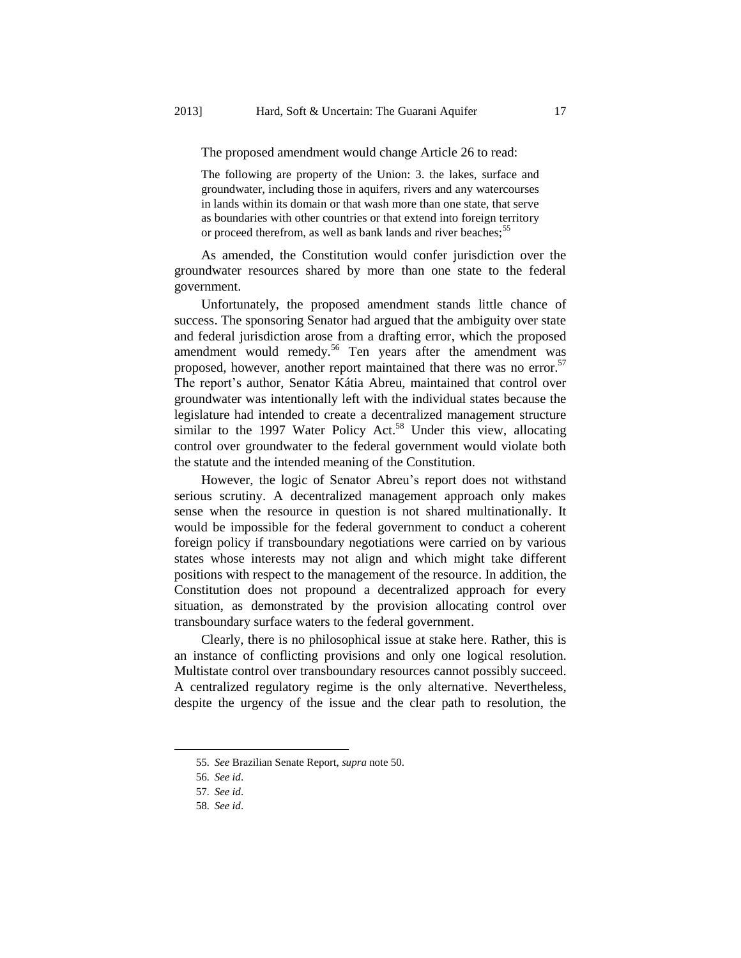The proposed amendment would change Article 26 to read:

The following are property of the Union: 3. the lakes, surface and groundwater, including those in aquifers, rivers and any watercourses in lands within its domain or that wash more than one state, that serve as boundaries with other countries or that extend into foreign territory or proceed therefrom, as well as bank lands and river beaches;<sup>55</sup>

As amended, the Constitution would confer jurisdiction over the groundwater resources shared by more than one state to the federal government.

Unfortunately, the proposed amendment stands little chance of success. The sponsoring Senator had argued that the ambiguity over state and federal jurisdiction arose from a drafting error, which the proposed amendment would remedy.<sup>56</sup> Ten years after the amendment was proposed, however, another report maintained that there was no error.<sup>57</sup> The report's author, Senator Kátia Abreu, maintained that control over groundwater was intentionally left with the individual states because the legislature had intended to create a decentralized management structure similar to the 1997 Water Policy Act.<sup>58</sup> Under this view, allocating control over groundwater to the federal government would violate both the statute and the intended meaning of the Constitution.

However, the logic of Senator Abreu's report does not withstand serious scrutiny. A decentralized management approach only makes sense when the resource in question is not shared multinationally. It would be impossible for the federal government to conduct a coherent foreign policy if transboundary negotiations were carried on by various states whose interests may not align and which might take different positions with respect to the management of the resource. In addition, the Constitution does not propound a decentralized approach for every situation, as demonstrated by the provision allocating control over transboundary surface waters to the federal government.

Clearly, there is no philosophical issue at stake here. Rather, this is an instance of conflicting provisions and only one logical resolution. Multistate control over transboundary resources cannot possibly succeed. A centralized regulatory regime is the only alternative. Nevertheless, despite the urgency of the issue and the clear path to resolution, the

 $\overline{a}$ 

<sup>55</sup>*. See* Brazilian Senate Report, *supra* note [50.](#page-15-0)

<sup>56</sup>*. See id*.

<sup>57</sup>*. See id*.

<sup>58</sup>*. See id*.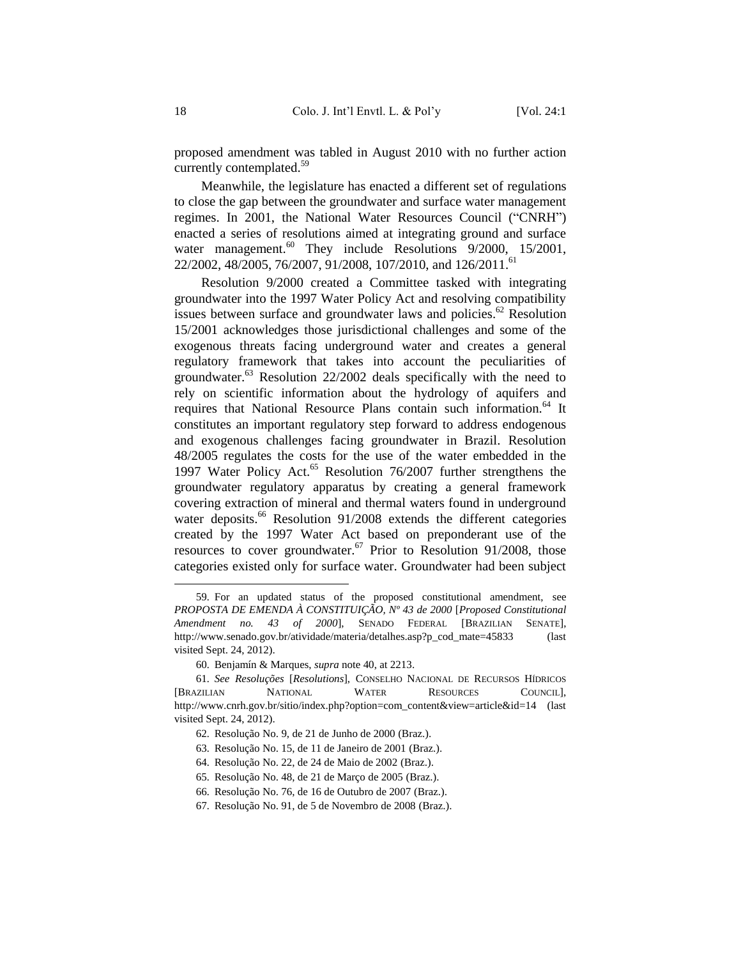proposed amendment was tabled in August 2010 with no further action currently contemplated.<sup>59</sup>

Meanwhile, the legislature has enacted a different set of regulations to close the gap between the groundwater and surface water management regimes. In 2001, the National Water Resources Council ("CNRH") enacted a series of resolutions aimed at integrating ground and surface water management.<sup>60</sup> They include Resolutions  $9/2000$ ,  $15/2001$ , 22/2002, 48/2005, 76/2007, 91/2008, 107/2010, and 126/2011.<sup>61</sup>

Resolution 9/2000 created a Committee tasked with integrating groundwater into the 1997 Water Policy Act and resolving compatibility issues between surface and groundwater laws and policies.<sup>62</sup> Resolution 15/2001 acknowledges those jurisdictional challenges and some of the exogenous threats facing underground water and creates a general regulatory framework that takes into account the peculiarities of groundwater. $63$  Resolution 22/2002 deals specifically with the need to rely on scientific information about the hydrology of aquifers and requires that National Resource Plans contain such information.<sup>64</sup> It constitutes an important regulatory step forward to address endogenous and exogenous challenges facing groundwater in Brazil. Resolution 48/2005 regulates the costs for the use of the water embedded in the 1997 Water Policy Act.<sup>65</sup> Resolution 76/2007 further strengthens the groundwater regulatory apparatus by creating a general framework covering extraction of mineral and thermal waters found in underground water deposits.<sup>66</sup> Resolution  $91/2008$  extends the different categories created by the 1997 Water Act based on preponderant use of the resources to cover groundwater.<sup>67</sup> Prior to Resolution 91/2008, those categories existed only for surface water. Groundwater had been subject

<sup>59</sup>*.* For an updated status of the proposed constitutional amendment, see *PROPOSTA DE EMENDA À CONSTITUIÇÃO, Nº 43 de 2000* [*Proposed Constitutional Amendment no. 43 of 2000*], SENADO FEDERAL [BRAZILIAN SENATE], http://www.senado.gov.br/atividade/materia/detalhes.asp?p\_cod\_mate=45833 (last visited Sept. 24, 2012).

<sup>60</sup>*.* Benjamín & Marques, *supra* not[e 40,](#page-14-2) at 2213.

<sup>61</sup>*. See Resoluções* [*Resolutions*], CONSELHO NACIONAL DE RECURSOS HÍDRICOS [BRAZILIAN NATIONAL WATER RESOURCES COUNCIL], http://www.cnrh.gov.br/sitio/index.php?option=com\_content&view=article&id=14 (last visited Sept. 24, 2012).

<sup>62</sup>*.* Resolução No. 9, de 21 de Junho de 2000 (Braz.).

<sup>63</sup>*.* Resolução No. 15, de 11 de Janeiro de 2001 (Braz.).

<sup>64</sup>*.* Resolução No. 22, de 24 de Maio de 2002 (Braz.).

<sup>65</sup>*.* Resolução No. 48, de 21 de Março de 2005 (Braz.).

<sup>66</sup>*.* Resolução No. 76, de 16 de Outubro de 2007 (Braz.).

<sup>67</sup>*.* Resolução No. 91, de 5 de Novembro de 2008 (Braz.).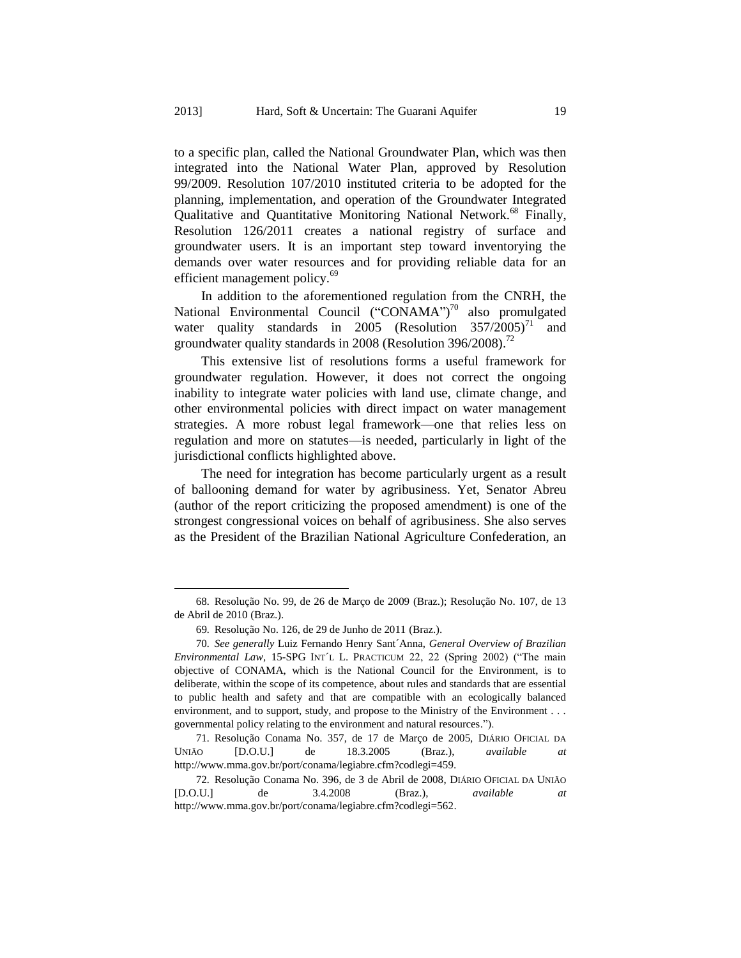to a specific plan, called the National Groundwater Plan, which was then integrated into the National Water Plan, approved by Resolution 99/2009. Resolution 107/2010 instituted criteria to be adopted for the planning, implementation, and operation of the Groundwater Integrated Qualitative and Quantitative Monitoring National Network.<sup>68</sup> Finally, Resolution 126/2011 creates a national registry of surface and groundwater users. It is an important step toward inventorying the demands over water resources and for providing reliable data for an efficient management policy.<sup>69</sup>

In addition to the aforementioned regulation from the CNRH, the National Environmental Council ("CONAMA")<sup>70</sup> also promulgated water quality standards in 2005 (Resolution  $357/2005$ )<sup>71</sup> and groundwater quality standards in 2008 (Resolution 396/2008).<sup>72</sup>

This extensive list of resolutions forms a useful framework for groundwater regulation. However, it does not correct the ongoing inability to integrate water policies with land use, climate change, and other environmental policies with direct impact on water management strategies. A more robust legal framework—one that relies less on regulation and more on statutes—is needed, particularly in light of the jurisdictional conflicts highlighted above.

The need for integration has become particularly urgent as a result of ballooning demand for water by agribusiness. Yet, Senator Abreu (author of the report criticizing the proposed amendment) is one of the strongest congressional voices on behalf of agribusiness. She also serves as the President of the Brazilian National Agriculture Confederation, an

 $\overline{a}$ 

<sup>68</sup>*.* Resolução No. 99, de 26 de Março de 2009 (Braz.); Resolução No. 107, de 13 de Abril de 2010 (Braz.).

<sup>69</sup>*.* Resolução No. 126, de 29 de Junho de 2011 (Braz.).

<sup>70</sup>*. See generally* Luiz Fernando Henry Sant´Anna, *General Overview of Brazilian Environmental Law*, 15-SPG INT´L L. PRACTICUM 22, 22 (Spring 2002) ("The main objective of CONAMA, which is the National Council for the Environment, is to deliberate, within the scope of its competence, about rules and standards that are essential to public health and safety and that are compatible with an ecologically balanced environment, and to support, study, and propose to the Ministry of the Environment . . . governmental policy relating to the environment and natural resources.").

<sup>71</sup>*.* Resolução Conama No. 357, de 17 de Março de 2005, DIÁRIO OFICIAL DA UNIÃO [D.O.U.] de 18.3.2005 (Braz.), *available at*  http://www.mma.gov.br/port/conama/legiabre.cfm?codlegi=459.

<sup>72</sup>*.* Resolução Conama No. 396, de 3 de Abril de 2008, DIÁRIO OFICIAL DA UNIÃO [D.O.U.] de 3.4.2008 (Braz.), *available at*  http://www.mma.gov.br/port/conama/legiabre.cfm?codlegi=562.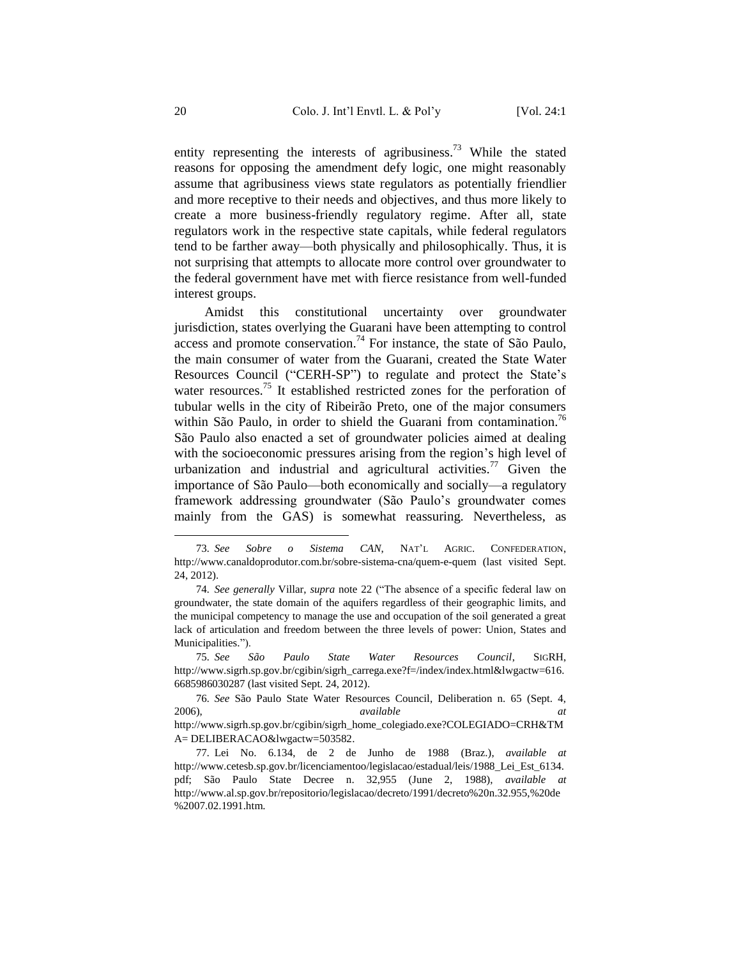entity representing the interests of agribusiness.<sup>73</sup> While the stated reasons for opposing the amendment defy logic, one might reasonably assume that agribusiness views state regulators as potentially friendlier and more receptive to their needs and objectives, and thus more likely to create a more business-friendly regulatory regime. After all, state regulators work in the respective state capitals, while federal regulators tend to be farther away—both physically and philosophically. Thus, it is not surprising that attempts to allocate more control over groundwater to the federal government have met with fierce resistance from well-funded interest groups.

Amidst this constitutional uncertainty over groundwater jurisdiction, states overlying the Guarani have been attempting to control  $\frac{1}{2}$  access and promote conservation.<sup>74</sup> For instance, the state of São Paulo, the main consumer of water from the Guarani, created the State Water Resources Council ("CERH-SP") to regulate and protect the State's water resources.<sup>75</sup> It established restricted zones for the perforation of tubular wells in the city of Ribeirão Preto, one of the major consumers within São Paulo, in order to shield the Guarani from contamination.<sup>76</sup> São Paulo also enacted a set of groundwater policies aimed at dealing with the socioeconomic pressures arising from the region's high level of urbanization and industrial and agricultural activities.<sup>77</sup> Given the importance of São Paulo—both economically and socially—a regulatory framework addressing groundwater (São Paulo's groundwater comes mainly from the GAS) is somewhat reassuring. Nevertheless, as

<sup>73</sup>*. See Sobre o Sistema CAN*, NAT'L AGRIC. CONFEDERATION, http://www.canaldoprodutor.com.br/sobre-sistema-cna/quem-e-quem (last visited Sept. 24, 2012).

<sup>74</sup>*. See generally* Villar, *supra* note [22](#page-10-2) ("The absence of a specific federal law on groundwater, the state domain of the aquifers regardless of their geographic limits, and the municipal competency to manage the use and occupation of the soil generated a great lack of articulation and freedom between the three levels of power: Union, States and Municipalities.").

<sup>75</sup>*. See São Paulo State Water Resources Council*, SIGRH, http://www.sigrh.sp.gov.br/cgibin/sigrh\_carrega.exe?f=/index/index.html&lwgactw=616. 6685986030287 (last visited Sept. 24, 2012).

<sup>76</sup>*. See* São Paulo State Water Resources Council, Deliberation n. 65 (Sept. 4, 2006), *available at* http://www.sigrh.sp.gov.br/cgibin/sigrh\_home\_colegiado.exe?COLEGIADO=CRH&TM A= DELIBERACAO&lwgactw=503582.

<sup>77</sup>*.* Lei No. 6.134, de 2 de Junho de 1988 (Braz.), *available at*  http://www.cetesb.sp.gov.br/licenciamentoo/legislacao/estadual/leis/1988\_Lei\_Est\_6134. pdf; São Paulo State Decree n. 32,955 (June 2, 1988), *available at*  http://www.al.sp.gov.br/repositorio/legislacao/decreto/1991/decreto%20n.32.955,%20de %2007.02.1991.htm.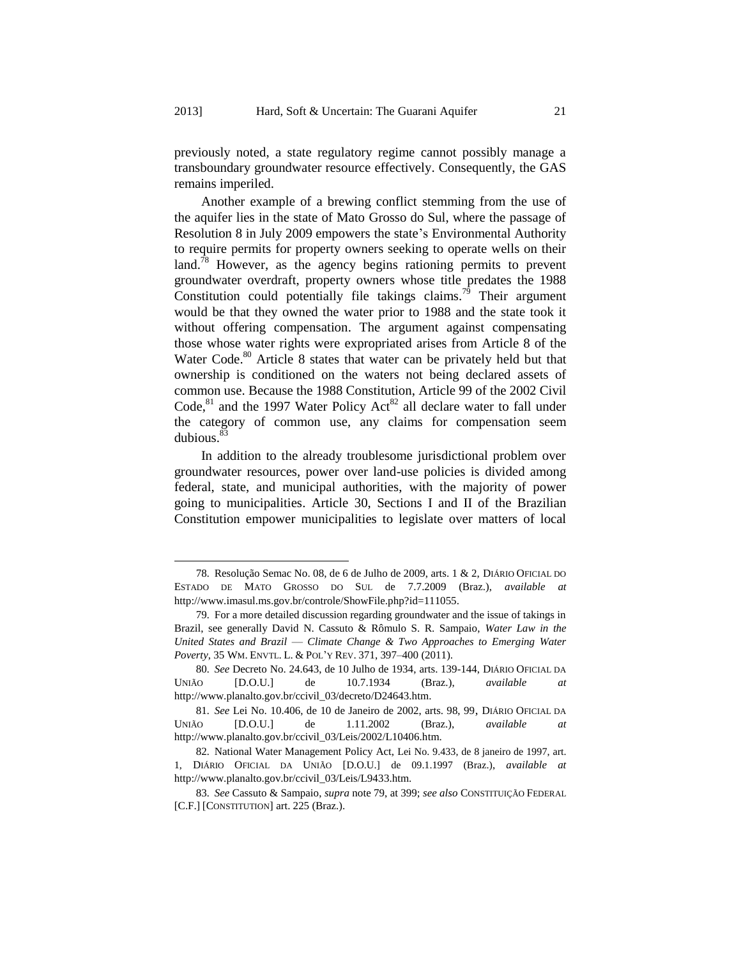previously noted, a state regulatory regime cannot possibly manage a transboundary groundwater resource effectively. Consequently, the GAS remains imperiled.

<span id="page-21-0"></span>Another example of a brewing conflict stemming from the use of the aquifer lies in the state of Mato Grosso do Sul, where the passage of Resolution 8 in July 2009 empowers the state's Environmental Authority to require permits for property owners seeking to operate wells on their land.<sup>78</sup> However, as the agency begins rationing permits to prevent groundwater overdraft, property owners whose title predates the 1988 Constitution could potentially file takings claims.<sup>79</sup> Their argument would be that they owned the water prior to 1988 and the state took it without offering compensation. The argument against compensating those whose water rights were expropriated arises from Article 8 of the Water Code.<sup>80</sup> Article 8 states that water can be privately held but that ownership is conditioned on the waters not being declared assets of common use. Because the 1988 Constitution, Article 99 of the 2002 Civil Code, ${}^{81}$  and the 1997 Water Policy Act<sup>82</sup> all declare water to fall under the category of common use, any claims for compensation seem dubious. 83

In addition to the already troublesome jurisdictional problem over groundwater resources, power over land-use policies is divided among federal, state, and municipal authorities, with the majority of power going to municipalities. Article 30, Sections I and II of the Brazilian Constitution empower municipalities to legislate over matters of local

<sup>78</sup>*.* Resolução Semac No. 08, de 6 de Julho de 2009, arts. 1 & 2, DIÁRIO OFICIAL DO ESTADO DE MATO GROSSO DO SUL de 7.7.2009 (Braz.), *available at*  http://www.imasul.ms.gov.br/controle/ShowFile.php?id=111055.

<sup>79</sup>*.* For a more detailed discussion regarding groundwater and the issue of takings in Brazil, see generally David N. Cassuto & Rômulo S. R. Sampaio, *Water Law in the United States and Brazil –– Climate Change & Two Approaches to Emerging Water Poverty*, 35 WM. ENVTL. L. & POL'Y REV. 371, 397–400 (2011).

<sup>80</sup>*. See* Decreto No. 24.643, de 10 Julho de 1934, arts. 139-144, DIÁRIO OFICIAL DA UNIÃO [D.O.U.] de 10.7.1934 (Braz.), *available at*  http://www.planalto.gov.br/ccivil\_03/decreto/D24643.htm.

<sup>81</sup>*. See* Lei No. 10.406, de 10 de Janeiro de 2002, arts. 98, 99, DIÁRIO OFICIAL DA UNIÃO [D.O.U.] de 1.11.2002 (Braz.), *available at* http://www.planalto.gov.br/ccivil\_03/Leis/2002/L10406.htm.

<sup>82</sup>*.* National Water Management Policy Act, Lei No. 9.433, de 8 janeiro de 1997, art. 1, DIÁRIO OFICIAL DA UNIÃO [D.O.U.] de 09.1.1997 (Braz.), *available at*  http://www.planalto.gov.br/ccivil\_03/Leis/L9433.htm.

<sup>83</sup>*. See* Cassuto & Sampaio, *supra* note [79,](#page-21-0) at 399; *see also* CONSTITUIÇÃO FEDERAL [C.F.] [CONSTITUTION] art. 225 (Braz.).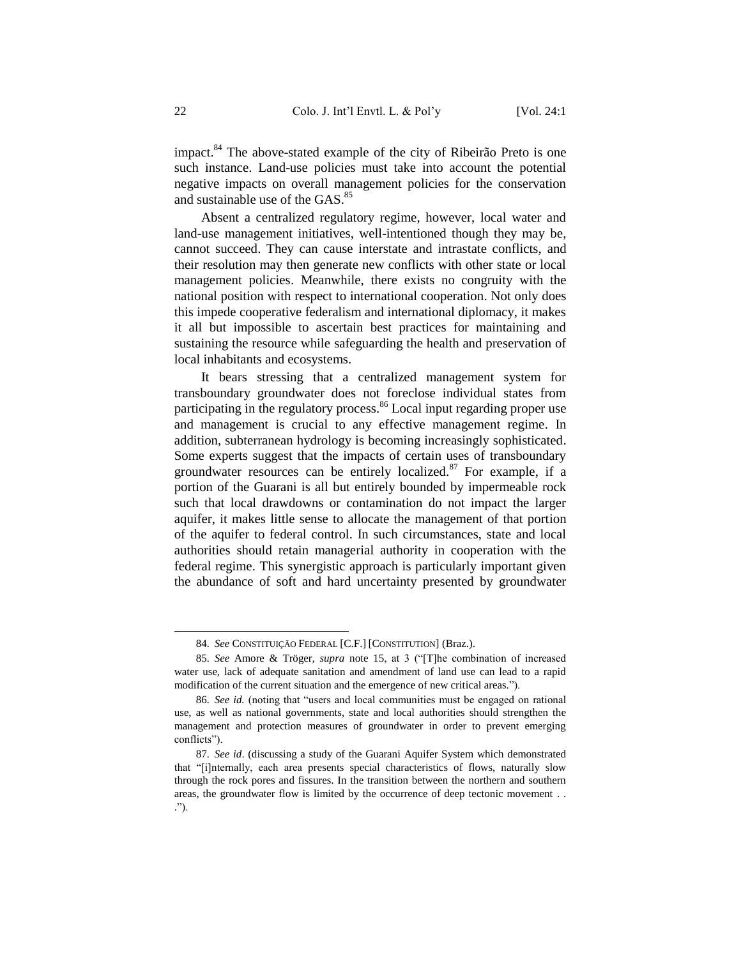impact.<sup>84</sup> The above-stated example of the city of Ribeirão Preto is one such instance. Land-use policies must take into account the potential negative impacts on overall management policies for the conservation and sustainable use of the GAS. 85

Absent a centralized regulatory regime, however, local water and land-use management initiatives, well-intentioned though they may be, cannot succeed. They can cause interstate and intrastate conflicts, and their resolution may then generate new conflicts with other state or local management policies. Meanwhile, there exists no congruity with the national position with respect to international cooperation. Not only does this impede cooperative federalism and international diplomacy, it makes it all but impossible to ascertain best practices for maintaining and sustaining the resource while safeguarding the health and preservation of local inhabitants and ecosystems.

It bears stressing that a centralized management system for transboundary groundwater does not foreclose individual states from participating in the regulatory process.<sup>86</sup> Local input regarding proper use and management is crucial to any effective management regime. In addition, subterranean hydrology is becoming increasingly sophisticated. Some experts suggest that the impacts of certain uses of transboundary groundwater resources can be entirely localized. $87$  For example, if a portion of the Guarani is all but entirely bounded by impermeable rock such that local drawdowns or contamination do not impact the larger aquifer, it makes little sense to allocate the management of that portion of the aquifer to federal control. In such circumstances, state and local authorities should retain managerial authority in cooperation with the federal regime. This synergistic approach is particularly important given the abundance of soft and hard uncertainty presented by groundwater

<sup>84</sup>*. See* CONSTITUIÇÃO FEDERAL [C.F.] [CONSTITUTION] (Braz.).

<sup>85</sup>*. See* Amore & Tröger*, supra* note [15,](#page-7-0) at 3 ("[T]he combination of increased water use, lack of adequate sanitation and amendment of land use can lead to a rapid modification of the current situation and the emergence of new critical areas.").

<sup>86</sup>*. See id.* (noting that "users and local communities must be engaged on rational use, as well as national governments, state and local authorities should strengthen the management and protection measures of groundwater in order to prevent emerging conflicts").

<sup>87</sup>*. See id*. (discussing a study of the Guarani Aquifer System which demonstrated that "[i]nternally, each area presents special characteristics of flows, naturally slow through the rock pores and fissures. In the transition between the northern and southern areas, the groundwater flow is limited by the occurrence of deep tectonic movement . . .").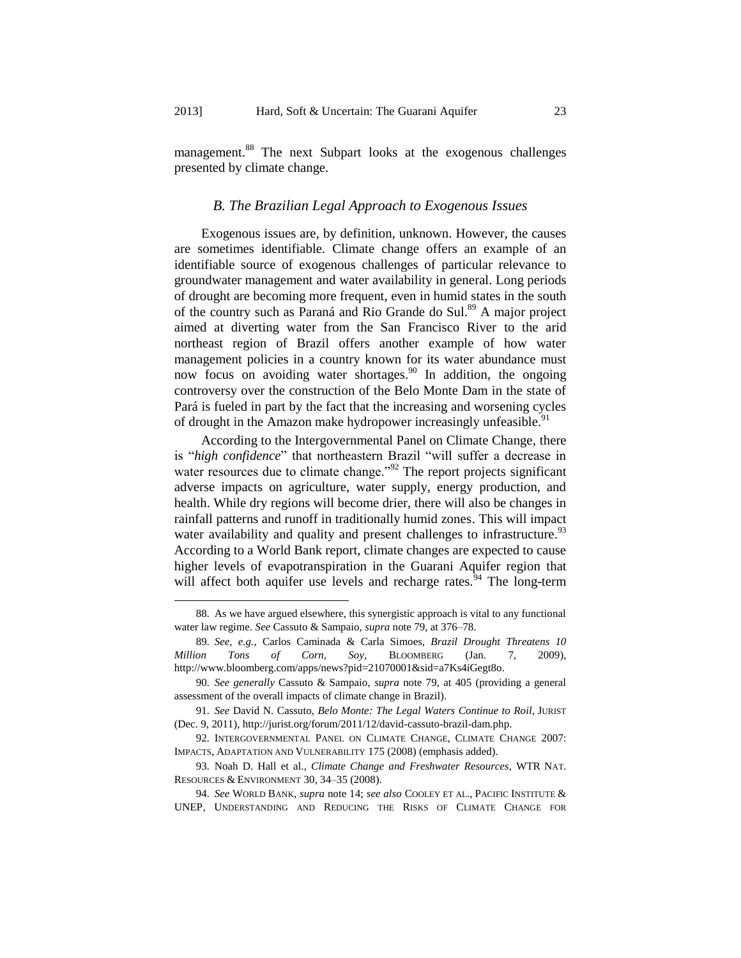<span id="page-23-0"></span>management.<sup>88</sup> The next Subpart looks at the exogenous challenges presented by climate change.

### *B. The Brazilian Legal Approach to Exogenous Issues*

Exogenous issues are, by definition, unknown. However, the causes are sometimes identifiable. Climate change offers an example of an identifiable source of exogenous challenges of particular relevance to groundwater management and water availability in general. Long periods of drought are becoming more frequent, even in humid states in the south of the country such as Paraná and Rio Grande do Sul.<sup>89</sup> A major project aimed at diverting water from the San Francisco River to the arid northeast region of Brazil offers another example of how water management policies in a country known for its water abundance must now focus on avoiding water shortages.<sup>90</sup> In addition, the ongoing controversy over the construction of the Belo Monte Dam in the state of Pará is fueled in part by the fact that the increasing and worsening cycles of drought in the Amazon make hydropower increasingly unfeasible.<sup>91</sup>

According to the Intergovernmental Panel on Climate Change, there is "*high confidence*" that northeastern Brazil "will suffer a decrease in water resources due to climate change."<sup>92</sup> The report projects significant adverse impacts on agriculture, water supply, energy production, and health. While dry regions will become drier, there will also be changes in rainfall patterns and runoff in traditionally humid zones. This will impact water availability and quality and present challenges to infrastructure.<sup>93</sup> According to a World Bank report, climate changes are expected to cause higher levels of evapotranspiration in the Guarani Aquifer region that will affect both aquifer use levels and recharge rates.<sup>94</sup> The long-term

<span id="page-23-1"></span><sup>88</sup>*.* As we have argued elsewhere, this synergistic approach is vital to any functional water law regime. *See* Cassuto & Sampaio, *supra* not[e 79,](#page-21-0) at 376–78.

<sup>89</sup>*. See, e.g.*, Carlos Caminada & Carla Simoes, *Brazil Drought Threatens 10 Million Tons of Corn, Soy,* BLOOMBERG (Jan. 7, 2009), http://www.bloomberg.com/apps/news?pid=21070001&sid=a7Ks4iGegt8o.

<sup>90</sup>*. See generally* Cassuto & Sampaio, *supra* note [79,](#page-21-0) at 405 (providing a general assessment of the overall impacts of climate change in Brazil).

<sup>91</sup>*. See* David N. Cassuto, *Belo Monte: The Legal Waters Continue to Roil*, JURIST (Dec. 9, 2011), http://jurist.org/forum/2011/12/david-cassuto-brazil-dam.php.

<sup>92</sup>*.* INTERGOVERNMENTAL PANEL ON CLIMATE CHANGE, CLIMATE CHANGE 2007: IMPACTS, ADAPTATION AND VULNERABILITY 175 (2008) (emphasis added).

<sup>93</sup>*.* Noah D. Hall et al., *Climate Change and Freshwater Resources*, WTR NAT. RESOURCES & ENVIRONMENT 30, 34–35 (2008).

<sup>94</sup>*. See* WORLD BANK, *supra* note [14;](#page-7-1) *see also* COOLEY ET AL., PACIFIC INSTITUTE & UNEP, UNDERSTANDING AND REDUCING THE RISKS OF CLIMATE CHANGE FOR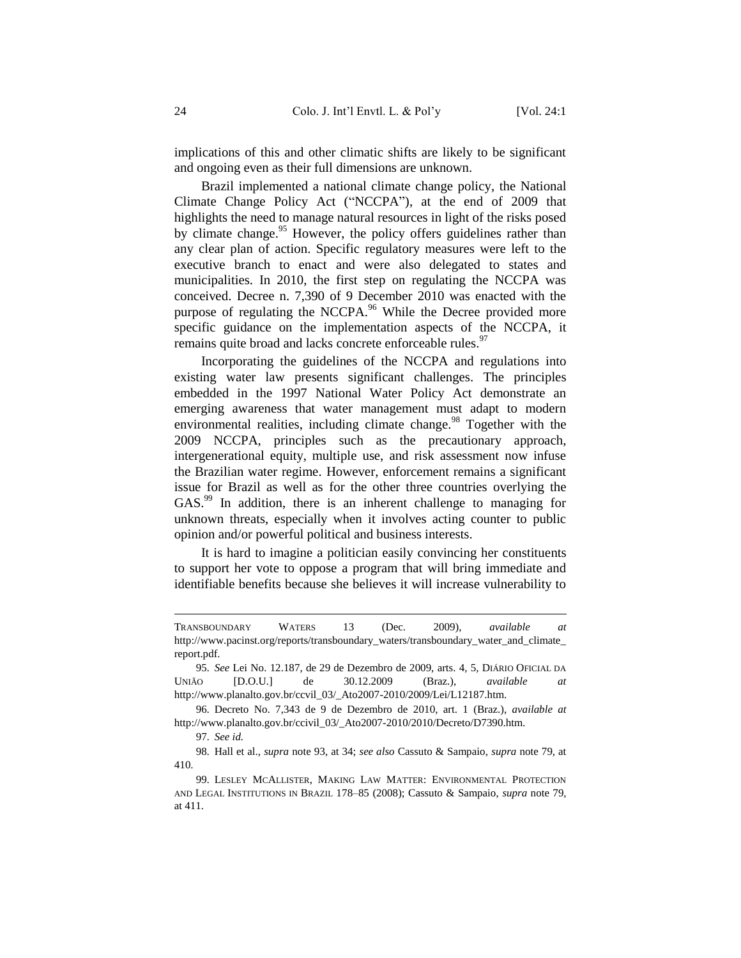implications of this and other climatic shifts are likely to be significant and ongoing even as their full dimensions are unknown.

Brazil implemented a national climate change policy, the National Climate Change Policy Act ("NCCPA"), at the end of 2009 that highlights the need to manage natural resources in light of the risks posed by climate change.<sup>95</sup> However, the policy offers guidelines rather than any clear plan of action. Specific regulatory measures were left to the executive branch to enact and were also delegated to states and municipalities. In 2010, the first step on regulating the NCCPA was conceived. Decree n. 7,390 of 9 December 2010 was enacted with the purpose of regulating the NCCPA.<sup>96</sup> While the Decree provided more specific guidance on the implementation aspects of the NCCPA, it remains quite broad and lacks concrete enforceable rules.<sup>97</sup>

Incorporating the guidelines of the NCCPA and regulations into existing water law presents significant challenges. The principles embedded in the 1997 National Water Policy Act demonstrate an emerging awareness that water management must adapt to modern environmental realities, including climate change.<sup>98</sup> Together with the 2009 NCCPA, principles such as the precautionary approach, intergenerational equity, multiple use, and risk assessment now infuse the Brazilian water regime. However, enforcement remains a significant issue for Brazil as well as for the other three countries overlying the GAS.<sup>99</sup> In addition, there is an inherent challenge to managing for unknown threats, especially when it involves acting counter to public opinion and/or powerful political and business interests.

It is hard to imagine a politician easily convincing her constituents to support her vote to oppose a program that will bring immediate and identifiable benefits because she believes it will increase vulnerability to

 $\overline{a}$ 

TRANSBOUNDARY WATERS 13 (Dec. 2009), *available at* http://www.pacinst.org/reports/transboundary\_waters/transboundary\_water\_and\_climate\_ report.pdf.

<sup>95</sup>*. See* Lei No. 12.187, de 29 de Dezembro de 2009, arts. 4, 5, DIÁRIO OFICIAL DA UNIÃO [D.O.U.] de 30.12.2009 (Braz.), *available at*  http://www.planalto.gov.br/ccvil\_03/\_Ato2007-2010/2009/Lei/L12187.htm.

<sup>96</sup>*.* Decreto No. 7,343 de 9 de Dezembro de 2010, art. 1 (Braz.), *available at*  http://www.planalto.gov.br/ccivil\_03/\_Ato2007-2010/2010/Decreto/D7390.htm.

<sup>97</sup>*. See id.*

<sup>98</sup>*.* Hall et al., *supra* not[e 93,](#page-23-1) at 34; *see also* Cassuto & Sampaio, *supra* not[e 79,](#page-21-0) at 410.

<sup>99</sup>*.* LESLEY MCALLISTER, MAKING LAW MATTER: ENVIRONMENTAL PROTECTION AND LEGAL INSTITUTIONS IN BRAZIL 178–85 (2008); Cassuto & Sampaio, *supra* not[e 79,](#page-21-0) at 411.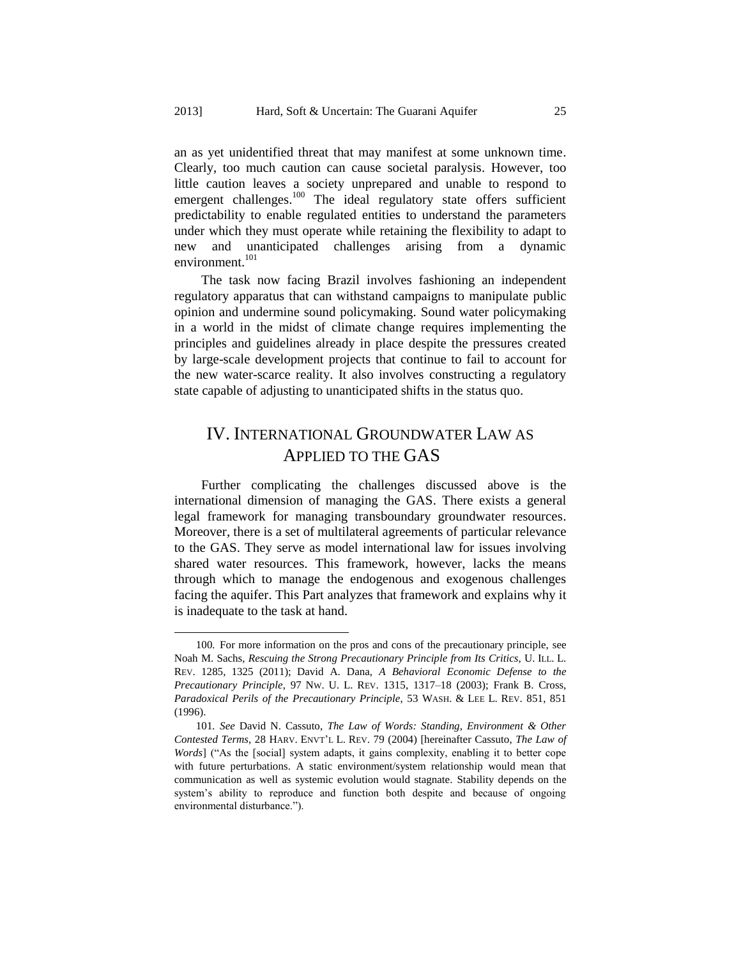an as yet unidentified threat that may manifest at some unknown time. Clearly, too much caution can cause societal paralysis. However, too little caution leaves a society unprepared and unable to respond to emergent challenges.<sup>100</sup> The ideal regulatory state offers sufficient predictability to enable regulated entities to understand the parameters under which they must operate while retaining the flexibility to adapt to new and unanticipated challenges arising from a dynamic environment.<sup>101</sup>

<span id="page-25-1"></span>The task now facing Brazil involves fashioning an independent regulatory apparatus that can withstand campaigns to manipulate public opinion and undermine sound policymaking. Sound water policymaking in a world in the midst of climate change requires implementing the principles and guidelines already in place despite the pressures created by large-scale development projects that continue to fail to account for the new water-scarce reality. It also involves constructing a regulatory state capable of adjusting to unanticipated shifts in the status quo.

### <span id="page-25-0"></span>IV. INTERNATIONAL GROUNDWATER LAW AS APPLIED TO THE GAS

Further complicating the challenges discussed above is the international dimension of managing the GAS. There exists a general legal framework for managing transboundary groundwater resources. Moreover, there is a set of multilateral agreements of particular relevance to the GAS. They serve as model international law for issues involving shared water resources. This framework, however, lacks the means through which to manage the endogenous and exogenous challenges facing the aquifer. This Part analyzes that framework and explains why it is inadequate to the task at hand.

 $\overline{a}$ 

<sup>100</sup>*.* For more information on the pros and cons of the precautionary principle, see Noah M. Sachs, *Rescuing the Strong Precautionary Principle from Its Critics*, U. ILL. L. REV. 1285, 1325 (2011); David A. Dana, *A Behavioral Economic Defense to the Precautionary Principle*, 97 NW. U. L. REV. 1315, 1317–18 (2003); Frank B. Cross, *Paradoxical Perils of the Precautionary Principle*, 53 WASH. & LEE L. REV. 851, 851 (1996).

<sup>101</sup>*. See* David N. Cassuto, *The Law of Words: Standing, Environment & Other Contested Terms*, 28 HARV. ENVT'L L. REV. 79 (2004) [hereinafter Cassuto, *The Law of Words*] ("As the [social] system adapts, it gains complexity, enabling it to better cope with future perturbations. A static environment/system relationship would mean that communication as well as systemic evolution would stagnate. Stability depends on the system's ability to reproduce and function both despite and because of ongoing environmental disturbance.").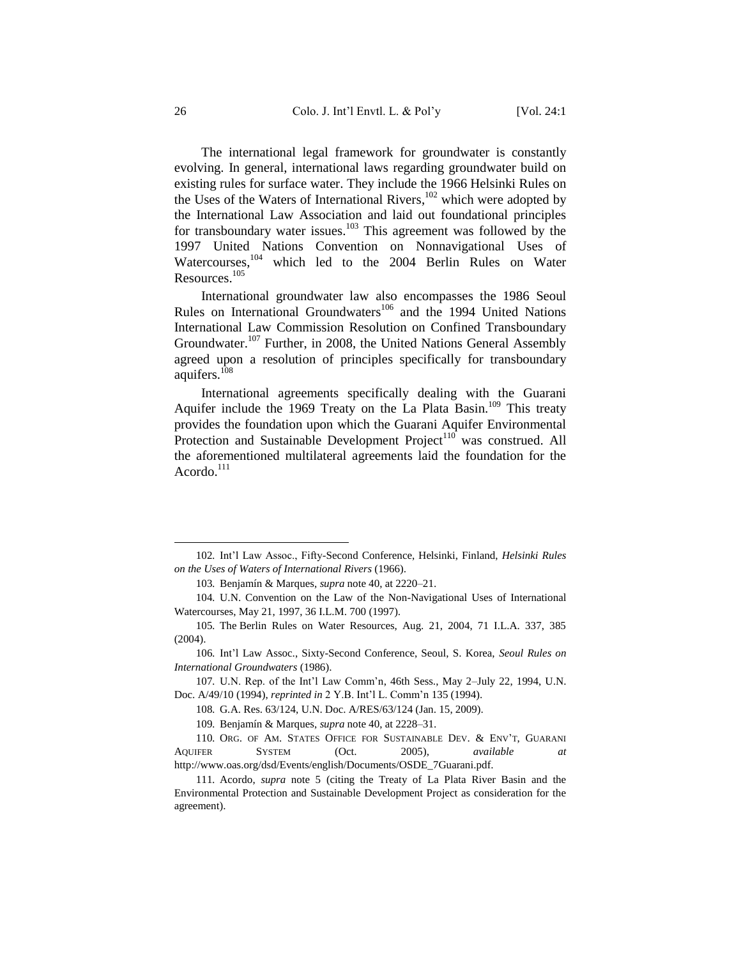The international legal framework for groundwater is constantly evolving. In general, international laws regarding groundwater build on existing rules for surface water. They include the 1966 Helsinki Rules on the Uses of the Waters of International Rivers,<sup>102</sup> which were adopted by the International Law Association and laid out foundational principles for transboundary water issues.<sup>103</sup> This agreement was followed by the 1997 United Nations Convention on Nonnavigational Uses of Watercourses,<sup>104</sup> which led to the 2004 Berlin Rules on Water Resources.<sup>105</sup>

International groundwater law also encompasses the 1986 Seoul Rules on International Groundwaters<sup>106</sup> and the 1994 United Nations International Law Commission Resolution on Confined Transboundary Groundwater.<sup>107</sup> Further, in 2008, the United Nations General Assembly agreed upon a resolution of principles specifically for transboundary aquifers.<sup>108</sup>

International agreements specifically dealing with the Guarani Aquifer include the 1969 Treaty on the La Plata Basin.<sup>109</sup> This treaty provides the foundation upon which the Guarani Aquifer Environmental Protection and Sustainable Development Project<sup>110</sup> was construed. All the aforementioned multilateral agreements laid the foundation for the Acordo.<sup>111</sup>

<sup>102</sup>*.* Int'l Law Assoc., Fifty-Second Conference, Helsinki, Finland, *Helsinki Rules on the Uses of Waters of International Rivers* (1966).

<sup>103</sup>*.* Benjamín & Marques, *supra* not[e 40,](#page-14-2) at 2220–21.

<sup>104</sup>*.* U.N. Convention on the Law of the Non-Navigational Uses of International Watercourses, May 21, 1997, 36 I.L.M. 700 (1997).

<sup>105</sup>*.* The Berlin Rules on Water Resources, Aug. 21, 2004, 71 I.L.A. 337, 385 (2004).

<sup>106</sup>*.* Int'l Law Assoc., Sixty-Second Conference, Seoul, S. Korea, *Seoul Rules on International Groundwaters* (1986).

<sup>107</sup>*.* U.N. Rep. of the Int'l Law Comm'n, 46th Sess., May 2–July 22, 1994, U.N. Doc. A/49/10 (1994), *reprinted in* 2 Y.B. Int'l L. Comm'n 135 (1994).

<sup>108</sup>*.* G.A. Res. 63/124, U.N. Doc. A/RES/63/124 (Jan. 15, 2009).

<sup>109</sup>*.* Benjamín & Marques, *supra* not[e 40,](#page-14-2) at 2228–31.

<sup>110</sup>*.* ORG. OF AM. STATES OFFICE FOR SUSTAINABLE DEV. & ENV'T, GUARANI AQUIFER SYSTEM (Oct. 2005), *available at* http://www.oas.org/dsd/Events/english/Documents/OSDE\_7Guarani.pdf.

<sup>111</sup>*.* Acordo, *supra* note [5](#page-4-2) (citing the Treaty of La Plata River Basin and the Environmental Protection and Sustainable Development Project as consideration for the agreement).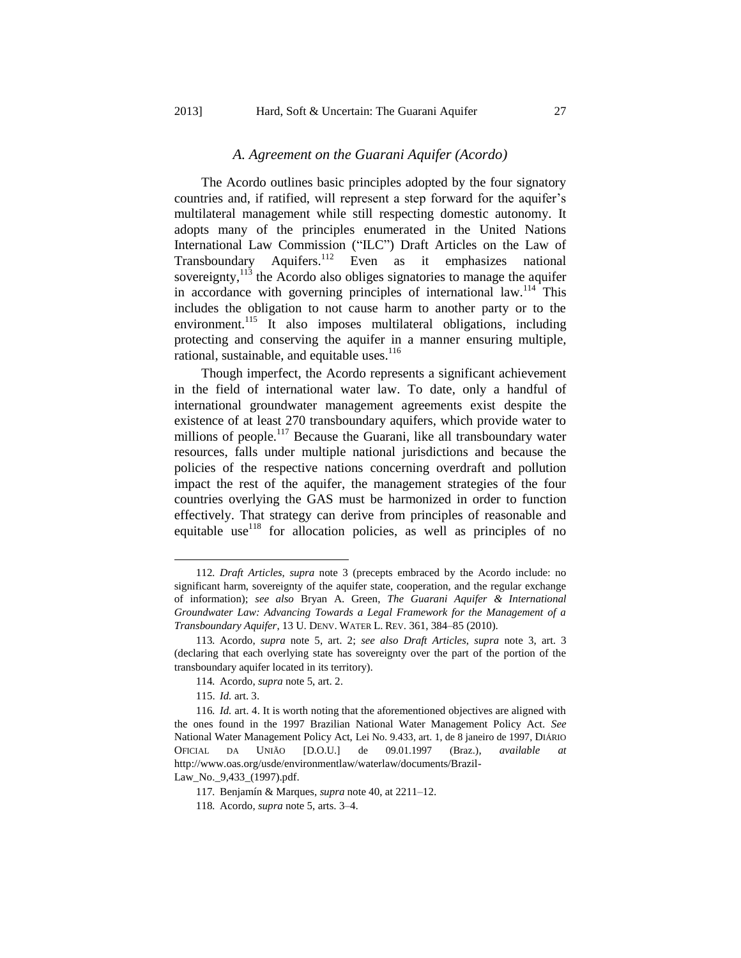#### *A. Agreement on the Guarani Aquifer (Acordo)*

<span id="page-27-0"></span>The Acordo outlines basic principles adopted by the four signatory countries and, if ratified, will represent a step forward for the aquifer's multilateral management while still respecting domestic autonomy. It adopts many of the principles enumerated in the United Nations International Law Commission ("ILC") Draft Articles on the Law of Transboundary Aquifers.<sup>112</sup> Even as it emphasizes national sovereignty,  $113$  the Acordo also obliges signatories to manage the aquifer in accordance with governing principles of international law.<sup>114</sup> This includes the obligation to not cause harm to another party or to the environment.<sup>115</sup> It also imposes multilateral obligations, including protecting and conserving the aquifer in a manner ensuring multiple, rational, sustainable, and equitable uses.<sup>116</sup>

Though imperfect, the Acordo represents a significant achievement in the field of international water law. To date, only a handful of international groundwater management agreements exist despite the existence of at least 270 transboundary aquifers, which provide water to millions of people.<sup>117</sup> Because the Guarani, like all transboundary water resources, falls under multiple national jurisdictions and because the policies of the respective nations concerning overdraft and pollution impact the rest of the aquifer, the management strategies of the four countries overlying the GAS must be harmonized in order to function effectively. That strategy can derive from principles of reasonable and equitable use<sup>118</sup> for allocation policies, as well as principles of no

 $\overline{a}$ 

Law\_No.\_9,433\_(1997).pdf.

<sup>112</sup>*. Draft Articles*, *supra* note [3](#page-4-1) (precepts embraced by the Acordo include: no significant harm, sovereignty of the aquifer state, cooperation, and the regular exchange of information); *see also* Bryan A. Green, *The Guarani Aquifer & International Groundwater Law: Advancing Towards a Legal Framework for the Management of a Transboundary Aquifer*, 13 U. DENV. WATER L. REV. 361, 384–85 (2010).

<sup>113</sup>*.* Acordo, *supra* note [5,](#page-4-2) art. 2; *see also Draft Articles*, *supra* note [3,](#page-4-1) art. 3 (declaring that each overlying state has sovereignty over the part of the portion of the transboundary aquifer located in its territory).

<sup>114</sup>*.* Acordo, *supra* not[e 5,](#page-4-2) art. 2.

<sup>115.</sup> *Id.* art. 3.

<sup>116</sup>*. Id.* art. 4. It is worth noting that the aforementioned objectives are aligned with the ones found in the 1997 Brazilian National Water Management Policy Act. *See*  National Water Management Policy Act, Lei No. 9.433, art. 1, de 8 janeiro de 1997, DIÁRIO OFICIAL DA UNIÃO [D.O.U.] de 09.01.1997 (Braz.), *available at*  http://www.oas.org/usde/environmentlaw/waterlaw/documents/Brazil-

<sup>117</sup>*.* Benjamín & Marques, *supra* not[e 40,](#page-14-2) at 2211–12.

<sup>118</sup>*.* Acordo, *supra* note 5, arts. 3–4.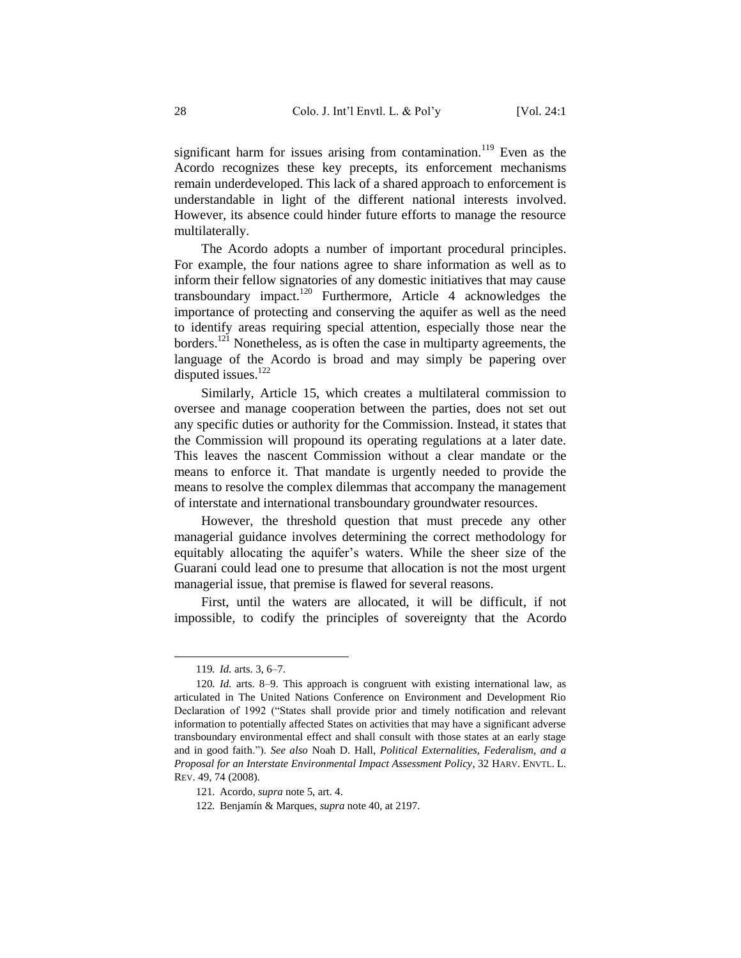significant harm for issues arising from contamination.<sup>119</sup> Even as the Acordo recognizes these key precepts, its enforcement mechanisms remain underdeveloped. This lack of a shared approach to enforcement is understandable in light of the different national interests involved. However, its absence could hinder future efforts to manage the resource multilaterally.

The Acordo adopts a number of important procedural principles. For example, the four nations agree to share information as well as to inform their fellow signatories of any domestic initiatives that may cause transboundary impact.<sup>120</sup> Furthermore, Article 4 acknowledges the importance of protecting and conserving the aquifer as well as the need to identify areas requiring special attention, especially those near the borders.<sup>121</sup> Nonetheless, as is often the case in multiparty agreements, the language of the Acordo is broad and may simply be papering over disputed issues.<sup>122</sup>

Similarly, Article 15, which creates a multilateral commission to oversee and manage cooperation between the parties, does not set out any specific duties or authority for the Commission. Instead, it states that the Commission will propound its operating regulations at a later date. This leaves the nascent Commission without a clear mandate or the means to enforce it. That mandate is urgently needed to provide the means to resolve the complex dilemmas that accompany the management of interstate and international transboundary groundwater resources.

However, the threshold question that must precede any other managerial guidance involves determining the correct methodology for equitably allocating the aquifer's waters. While the sheer size of the Guarani could lead one to presume that allocation is not the most urgent managerial issue, that premise is flawed for several reasons.

First, until the waters are allocated, it will be difficult, if not impossible, to codify the principles of sovereignty that the Acordo

<sup>119</sup>*. Id.* arts. 3, 6–7.

<sup>120</sup>*. Id.* arts. 8–9. This approach is congruent with existing international law, as articulated in The United Nations Conference on Environment and Development Rio Declaration of 1992 ("States shall provide prior and timely notification and relevant information to potentially affected States on activities that may have a significant adverse transboundary environmental effect and shall consult with those states at an early stage and in good faith."). *See also* Noah D. Hall, *Political Externalities, Federalism, and a Proposal for an Interstate Environmental Impact Assessment Policy*, 32 HARV. ENVTL. L. REV. 49, 74 (2008).

<sup>121</sup>*.* Acordo, *supra* not[e 5,](#page-4-2) art. 4.

<sup>122</sup>*.* Benjamín & Marques, *supra* not[e 40,](#page-14-2) at 2197.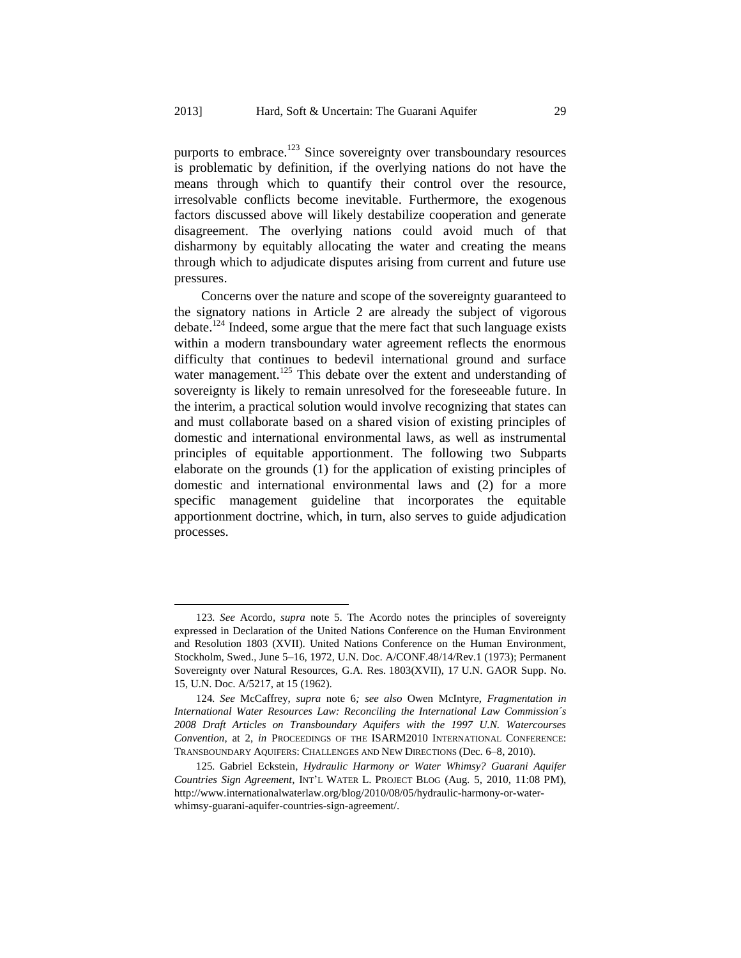purports to embrace.<sup>123</sup> Since sovereignty over transboundary resources is problematic by definition, if the overlying nations do not have the means through which to quantify their control over the resource, irresolvable conflicts become inevitable. Furthermore, the exogenous factors discussed above will likely destabilize cooperation and generate disagreement. The overlying nations could avoid much of that disharmony by equitably allocating the water and creating the means through which to adjudicate disputes arising from current and future use pressures.

Concerns over the nature and scope of the sovereignty guaranteed to the signatory nations in Article 2 are already the subject of vigorous debate.<sup>124</sup> Indeed, some argue that the mere fact that such language exists within a modern transboundary water agreement reflects the enormous difficulty that continues to bedevil international ground and surface water management.<sup>125</sup> This debate over the extent and understanding of sovereignty is likely to remain unresolved for the foreseeable future. In the interim, a practical solution would involve recognizing that states can and must collaborate based on a shared vision of existing principles of domestic and international environmental laws, as well as instrumental principles of equitable apportionment. The following two Subparts elaborate on the grounds (1) for the application of existing principles of domestic and international environmental laws and (2) for a more specific management guideline that incorporates the equitable apportionment doctrine, which, in turn, also serves to guide adjudication processes.

<sup>123</sup>*. See* Acordo*, supra* note [5.](#page-4-2) The Acordo notes the principles of sovereignty expressed in Declaration of the United Nations Conference on the Human Environment and Resolution 1803 (XVII). United Nations Conference on the Human Environment, Stockholm, Swed., June 5–16, 1972, U.N. Doc. A/CONF.48/14/Rev.1 (1973); Permanent Sovereignty over Natural Resources, G.A. Res. 1803(XVII), 17 U.N. GAOR Supp. No. 15, U.N. Doc. A/5217, at 15 (1962).

<sup>124</sup>*. See* McCaffrey, *supra* note [6](#page-5-0)*; see also* Owen McIntyre, *Fragmentation in International Water Resources Law: Reconciling the International Law Commission´s 2008 Draft Articles on Transboundary Aquifers with the 1997 U.N. Watercourses Convention*, at 2, *in* PROCEEDINGS OF THE ISARM2010 INTERNATIONAL CONFERENCE: TRANSBOUNDARY AQUIFERS: CHALLENGES AND NEW DIRECTIONS (Dec. 6–8, 2010).

<sup>125</sup>*.* Gabriel Eckstein, *Hydraulic Harmony or Water Whimsy? Guarani Aquifer Countries Sign Agreement*, INT'L WATER L. PROJECT BLOG (Aug. 5, 2010, 11:08 PM), http://www.internationalwaterlaw.org/blog/2010/08/05/hydraulic-harmony-or-waterwhimsy-guarani-aquifer-countries-sign-agreement/.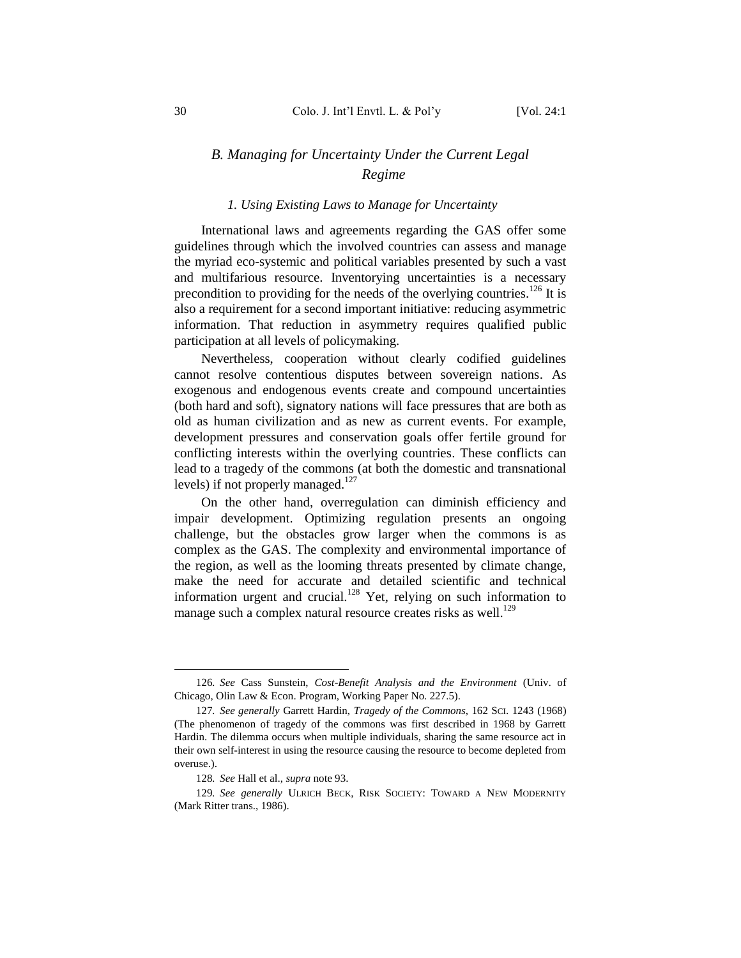### <span id="page-30-0"></span>*B. Managing for Uncertainty Under the Current Legal Regime*

#### *1. Using Existing Laws to Manage for Uncertainty*

<span id="page-30-1"></span>International laws and agreements regarding the GAS offer some guidelines through which the involved countries can assess and manage the myriad eco-systemic and political variables presented by such a vast and multifarious resource. Inventorying uncertainties is a necessary precondition to providing for the needs of the overlying countries.<sup>126</sup> It is also a requirement for a second important initiative: reducing asymmetric information. That reduction in asymmetry requires qualified public participation at all levels of policymaking.

Nevertheless, cooperation without clearly codified guidelines cannot resolve contentious disputes between sovereign nations. As exogenous and endogenous events create and compound uncertainties (both hard and soft), signatory nations will face pressures that are both as old as human civilization and as new as current events. For example, development pressures and conservation goals offer fertile ground for conflicting interests within the overlying countries. These conflicts can lead to a tragedy of the commons (at both the domestic and transnational levels) if not properly managed.<sup>127</sup>

On the other hand, overregulation can diminish efficiency and impair development. Optimizing regulation presents an ongoing challenge, but the obstacles grow larger when the commons is as complex as the GAS. The complexity and environmental importance of the region, as well as the looming threats presented by climate change, make the need for accurate and detailed scientific and technical information urgent and crucial.<sup>128</sup> Yet, relying on such information to manage such a complex natural resource creates risks as well.<sup>129</sup>

<sup>126</sup>*. See* Cass Sunstein, *Cost-Benefit Analysis and the Environment* (Univ. of Chicago, Olin Law & Econ. Program, Working Paper No. 227.5).

<sup>127</sup>*. See generally* Garrett Hardin, *Tragedy of the Commons*, 162 SCI. 1243 (1968) (The phenomenon of tragedy of the commons was first described in 1968 by Garrett Hardin. The dilemma occurs when multiple individuals, sharing the same resource act in their own self-interest in using the resource causing the resource to become depleted from overuse.).

<sup>128</sup>*. See* Hall et al., *supra* not[e 93.](#page-23-1)

<sup>129</sup>*. See generally* ULRICH BECK, RISK SOCIETY: TOWARD A NEW MODERNITY (Mark Ritter trans., 1986).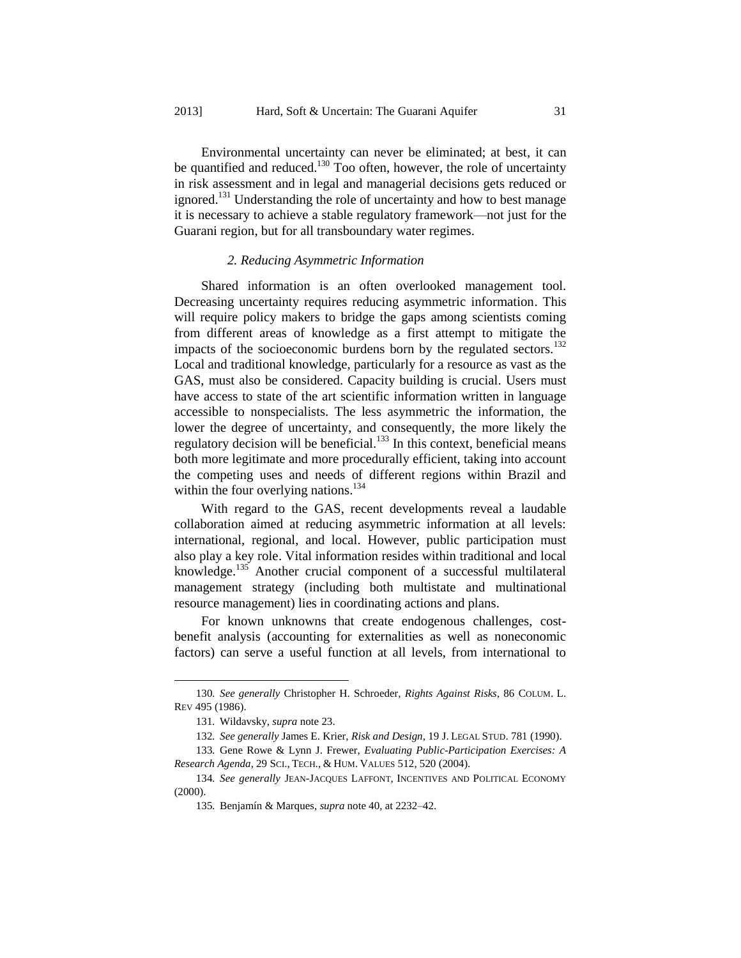Environmental uncertainty can never be eliminated; at best, it can be quantified and reduced.<sup>130</sup> Too often, however, the role of uncertainty in risk assessment and in legal and managerial decisions gets reduced or ignored.<sup>131</sup> Understanding the role of uncertainty and how to best manage it is necessary to achieve a stable regulatory framework—not just for the Guarani region, but for all transboundary water regimes.

#### *2. Reducing Asymmetric Information*

<span id="page-31-0"></span>Shared information is an often overlooked management tool. Decreasing uncertainty requires reducing asymmetric information. This will require policy makers to bridge the gaps among scientists coming from different areas of knowledge as a first attempt to mitigate the impacts of the socioeconomic burdens born by the regulated sectors.<sup>132</sup> Local and traditional knowledge, particularly for a resource as vast as the GAS, must also be considered. Capacity building is crucial. Users must have access to state of the art scientific information written in language accessible to nonspecialists. The less asymmetric the information, the lower the degree of uncertainty, and consequently, the more likely the regulatory decision will be beneficial.<sup>133</sup> In this context, beneficial means both more legitimate and more procedurally efficient, taking into account the competing uses and needs of different regions within Brazil and within the four overlying nations.<sup>134</sup>

With regard to the GAS, recent developments reveal a laudable collaboration aimed at reducing asymmetric information at all levels: international, regional, and local. However, public participation must also play a key role. Vital information resides within traditional and local knowledge.<sup>135</sup> Another crucial component of a successful multilateral management strategy (including both multistate and multinational resource management) lies in coordinating actions and plans.

For known unknowns that create endogenous challenges, costbenefit analysis (accounting for externalities as well as noneconomic factors) can serve a useful function at all levels, from international to

<sup>130</sup>*. See generally* Christopher H. Schroeder, *Rights Against Risks*, 86 COLUM. L. REV 495 (1986).

<sup>131</sup>*.* Wildavsky, *supra* not[e 23.](#page-10-1)

<sup>132</sup>*. See generally* James E. Krier, *Risk and Design*, 19 J. LEGAL STUD. 781 (1990).

<sup>133</sup>*.* Gene Rowe & Lynn J. Frewer, *Evaluating Public-Participation Exercises: A Research Agenda*, 29 SCI., TECH., & HUM. VALUES 512, 520 (2004).

<sup>134</sup>*. See generally* JEAN-JACQUES LAFFONT, INCENTIVES AND POLITICAL ECONOMY (2000).

<sup>135</sup>*.* Benjamín & Marques, *supra* note [40,](#page-14-2) at 2232–42.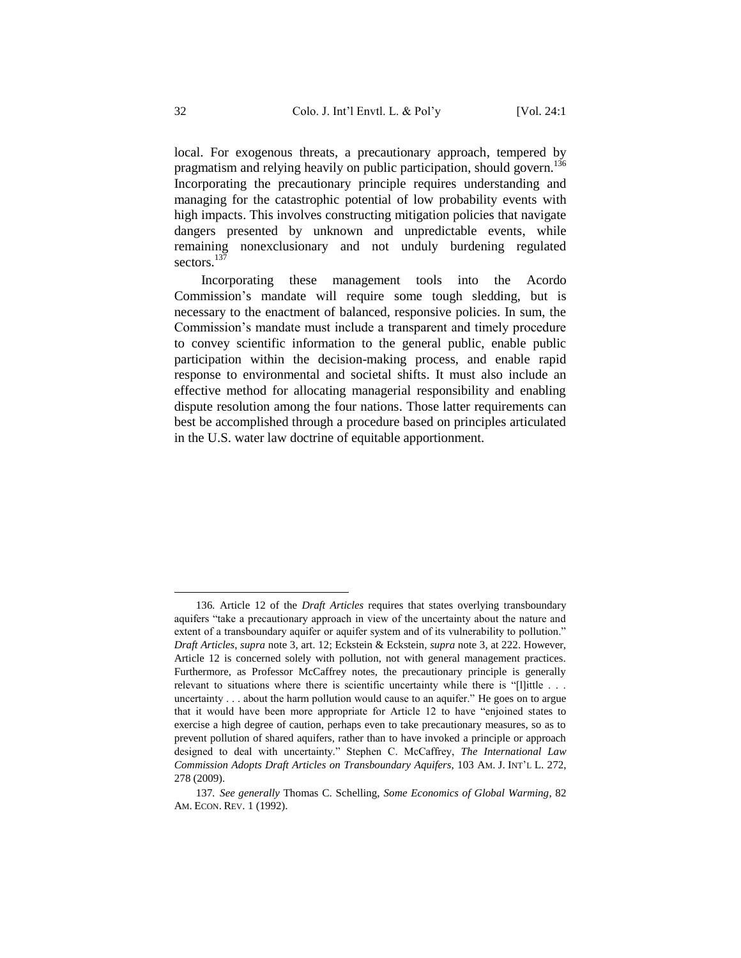local. For exogenous threats, a precautionary approach, tempered by pragmatism and relying heavily on public participation, should govern.<sup>136</sup> Incorporating the precautionary principle requires understanding and managing for the catastrophic potential of low probability events with high impacts. This involves constructing mitigation policies that navigate dangers presented by unknown and unpredictable events, while remaining nonexclusionary and not unduly burdening regulated sectors.<sup>137</sup>

Incorporating these management tools into the Acordo Commission's mandate will require some tough sledding, but is necessary to the enactment of balanced, responsive policies. In sum, the Commission's mandate must include a transparent and timely procedure to convey scientific information to the general public, enable public participation within the decision-making process, and enable rapid response to environmental and societal shifts. It must also include an effective method for allocating managerial responsibility and enabling dispute resolution among the four nations. Those latter requirements can best be accomplished through a procedure based on principles articulated in the U.S. water law doctrine of equitable apportionment.

<sup>136</sup>*.* Article 12 of the *Draft Articles* requires that states overlying transboundary aquifers "take a precautionary approach in view of the uncertainty about the nature and extent of a transboundary aquifer or aquifer system and of its vulnerability to pollution." *Draft Articles*, *supra* not[e 3,](#page-4-1) art. 12; Eckstein & Eckstein, *supra* not[e 3,](#page-4-1) at 222. However, Article 12 is concerned solely with pollution, not with general management practices. Furthermore, as Professor McCaffrey notes, the precautionary principle is generally relevant to situations where there is scientific uncertainty while there is "[l]ittle . . . uncertainty . . . about the harm pollution would cause to an aquifer." He goes on to argue that it would have been more appropriate for Article 12 to have "enjoined states to exercise a high degree of caution, perhaps even to take precautionary measures, so as to prevent pollution of shared aquifers, rather than to have invoked a principle or approach designed to deal with uncertainty." Stephen C. McCaffrey, *The International Law Commission Adopts Draft Articles on Transboundary Aquifers*, 103 AM. J. INT'L L. 272, 278 (2009).

<sup>137</sup>*. See generally* Thomas C. Schelling, *Some Economics of Global Warming*, 82 AM. ECON. REV. 1 (1992).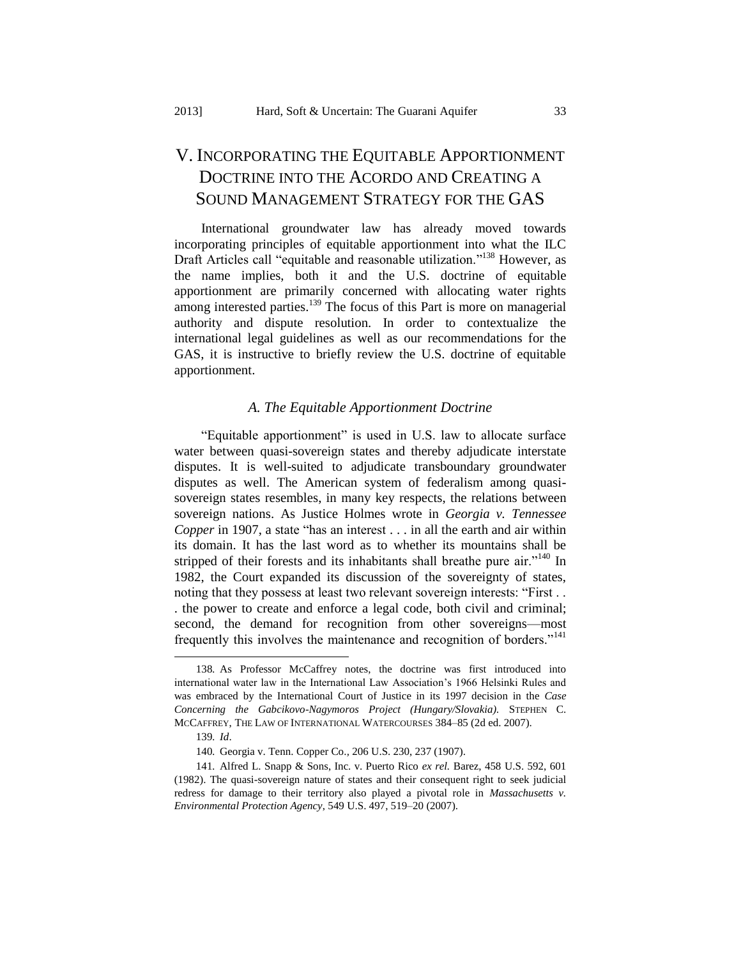# <span id="page-33-0"></span>V. INCORPORATING THE EQUITABLE APPORTIONMENT DOCTRINE INTO THE ACORDO AND CREATING A SOUND MANAGEMENT STRATEGY FOR THE GAS

International groundwater law has already moved towards incorporating principles of equitable apportionment into what the ILC Draft Articles call "equitable and reasonable utilization." <sup>138</sup> However, as the name implies, both it and the U.S. doctrine of equitable apportionment are primarily concerned with allocating water rights among interested parties.<sup>139</sup> The focus of this Part is more on managerial authority and dispute resolution. In order to contextualize the international legal guidelines as well as our recommendations for the GAS, it is instructive to briefly review the U.S. doctrine of equitable apportionment.

### <span id="page-33-2"></span>*A. The Equitable Apportionment Doctrine*

<span id="page-33-1"></span>"Equitable apportionment" is used in U.S. law to allocate surface water between quasi-sovereign states and thereby adjudicate interstate disputes. It is well-suited to adjudicate transboundary groundwater disputes as well. The American system of federalism among quasisovereign states resembles, in many key respects, the relations between sovereign nations. As Justice Holmes wrote in *Georgia v. Tennessee Copper* in 1907, a state "has an interest . . . in all the earth and air within its domain. It has the last word as to whether its mountains shall be stripped of their forests and its inhabitants shall breathe pure air."<sup>140</sup> In 1982, the Court expanded its discussion of the sovereignty of states, noting that they possess at least two relevant sovereign interests: "First... . the power to create and enforce a legal code, both civil and criminal; second, the demand for recognition from other sovereigns—most frequently this involves the maintenance and recognition of borders."<sup>141</sup>

<sup>138</sup>*.* As Professor McCaffrey notes, the doctrine was first introduced into international water law in the International Law Association's 1966 Helsinki Rules and was embraced by the International Court of Justice in its 1997 decision in the *Case Concerning the Gabcikovo-Nagymoros Project (Hungary/Slovakia).* STEPHEN C. MCCAFFREY, THE LAW OF INTERNATIONAL WATERCOURSES 384–85 (2d ed. 2007).

<sup>139</sup>*. Id*.

<sup>140</sup>*.* Georgia v. Tenn. Copper Co.*,* 206 U.S. 230, 237 (1907).

<sup>141</sup>*.* Alfred L. Snapp & Sons, Inc. v. Puerto Rico *ex rel.* Barez, 458 U.S. 592, 601 (1982). The quasi-sovereign nature of states and their consequent right to seek judicial redress for damage to their territory also played a pivotal role in *Massachusetts v. Environmental Protection Agency*, 549 U.S. 497, 519–20 (2007).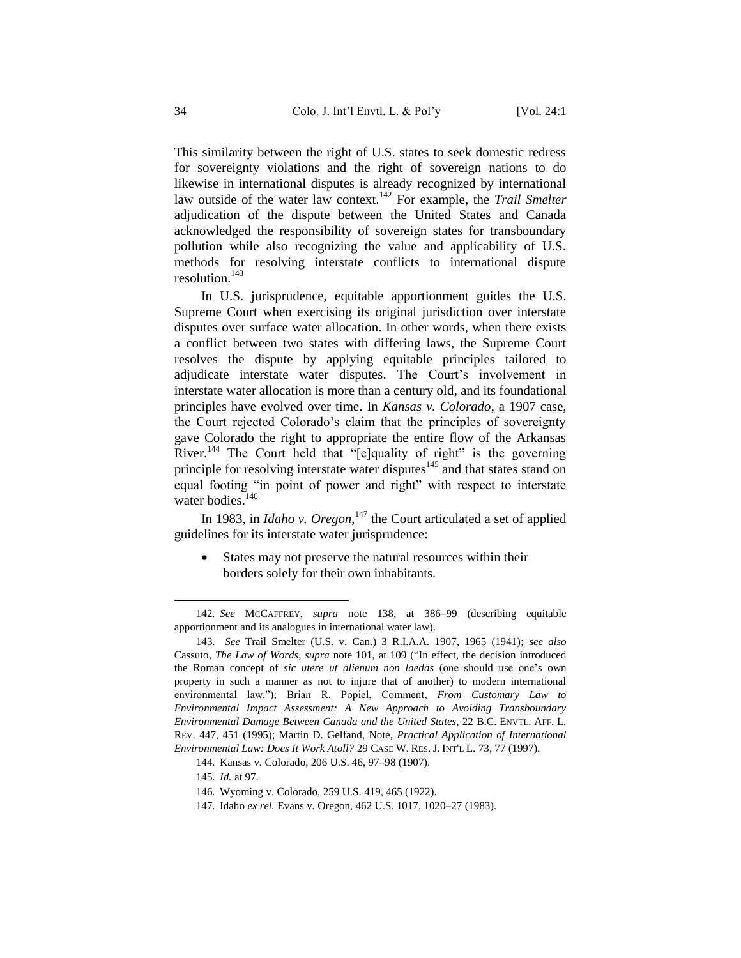This similarity between the right of U.S. states to seek domestic redress for sovereignty violations and the right of sovereign nations to do likewise in international disputes is already recognized by international law outside of the water law context.<sup>142</sup> For example, the *Trail Smelter* adjudication of the dispute between the United States and Canada acknowledged the responsibility of sovereign states for transboundary pollution while also recognizing the value and applicability of U.S. methods for resolving interstate conflicts to international dispute resolution. $143$ 

In U.S. jurisprudence, equitable apportionment guides the U.S. Supreme Court when exercising its original jurisdiction over interstate disputes over surface water allocation. In other words, when there exists a conflict between two states with differing laws, the Supreme Court resolves the dispute by applying equitable principles tailored to adjudicate interstate water disputes. The Court's involvement in interstate water allocation is more than a century old, and its foundational principles have evolved over time. In *Kansas v. Colorado*, a 1907 case, the Court rejected Colorado's claim that the principles of sovereignty gave Colorado the right to appropriate the entire flow of the Arkansas River.<sup>144</sup> The Court held that "[e]quality of right" is the governing principle for resolving interstate water disputes $145$  and that states stand on equal footing "in point of power and right" with respect to interstate water bodies. $146$ 

In 1983, in *Idaho v. Oregon*,<sup>147</sup> the Court articulated a set of applied guidelines for its interstate water jurisprudence:

 States may not preserve the natural resources within their borders solely for their own inhabitants.

l

147*.* Idaho *ex rel.* Evans v. Oregon, 462 U.S. 1017, 1020–27 (1983).

<sup>142</sup>*. See* MCCAFFREY, *supra* note [138,](#page-33-2) at 386–99 (describing equitable apportionment and its analogues in international water law).

<sup>143</sup>*. See* Trail Smelter (U.S. v. Can.) 3 R.I.A.A. 1907, 1965 (1941); *see also* Cassuto, *The Law of Words*, *supra* note [101,](#page-25-1) at 109 ("In effect, the decision introduced the Roman concept of *sic utere ut alienum non laedas* (one should use one's own property in such a manner as not to injure that of another) to modern international environmental law."); Brian R. Popiel, Comment, *From Customary Law to Environmental Impact Assessment: A New Approach to Avoiding Transboundary Environmental Damage Between Canada and the United States*, 22 B.C. ENVTL. AFF. L. REV. 447, 451 (1995); Martin D. Gelfand, Note, *Practical Application of International Environmental Law: Does It Work Atoll?* 29 CASE W. RES. J. INT'L L. 73, 77 (1997).

<sup>144</sup>*.* Kansas v. Colorado, 206 U.S. 46, 97–98 (1907).

<sup>145</sup>*. Id.* at 97.

<sup>146</sup>*.* Wyoming v. Colorado, 259 U.S. 419, 465 (1922).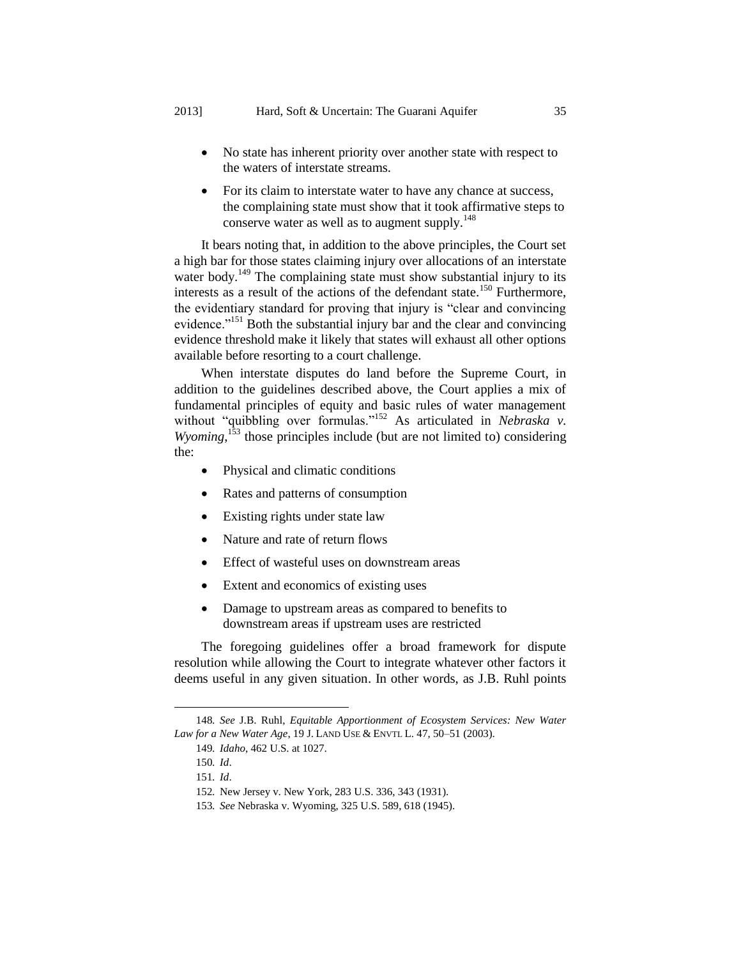- No state has inherent priority over another state with respect to the waters of interstate streams.
- <span id="page-35-0"></span> For its claim to interstate water to have any chance at success, the complaining state must show that it took affirmative steps to conserve water as well as to augment supply.<sup>148</sup>

It bears noting that, in addition to the above principles, the Court set a high bar for those states claiming injury over allocations of an interstate water body.<sup>149</sup> The complaining state must show substantial injury to its interests as a result of the actions of the defendant state.<sup>150</sup> Furthermore, the evidentiary standard for proving that injury is "clear and convincing evidence."<sup>151</sup> Both the substantial injury bar and the clear and convincing evidence threshold make it likely that states will exhaust all other options available before resorting to a court challenge.

When interstate disputes do land before the Supreme Court, in addition to the guidelines described above, the Court applies a mix of fundamental principles of equity and basic rules of water management without "quibbling over formulas."<sup>152</sup> As articulated in *Nebraska v. Wyoming*<sup>153</sup> those principles include (but are not limited to) considering the:

- Physical and climatic conditions
- Rates and patterns of consumption
- Existing rights under state law
- Nature and rate of return flows
- Effect of wasteful uses on downstream areas
- Extent and economics of existing uses
- Damage to upstream areas as compared to benefits to downstream areas if upstream uses are restricted

The foregoing guidelines offer a broad framework for dispute resolution while allowing the Court to integrate whatever other factors it deems useful in any given situation. In other words, as J.B. Ruhl points

<sup>148</sup>*. See* J.B. Ruhl, *Equitable Apportionment of Ecosystem Services: New Water Law for a New Water Age*, 19 J. LAND USE & ENVTL L. 47, 50–51 (2003).

<sup>149</sup>*. Idaho*, 462 U.S. at 1027.

<sup>150</sup>*. Id*.

<sup>151</sup>*. Id*.

<sup>152</sup>*.* New Jersey v. New York, 283 U.S. 336, 343 (1931).

<sup>153</sup>*. See* Nebraska v. Wyoming, 325 U.S. 589, 618 (1945).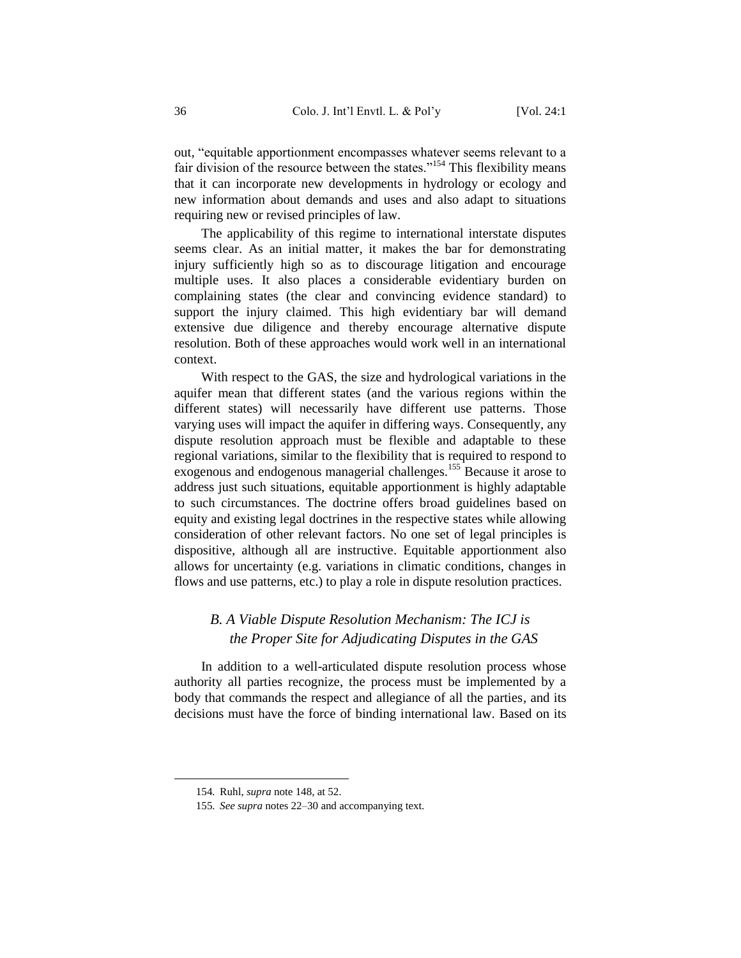out, "equitable apportionment encompasses whatever seems relevant to a fair division of the resource between the states."<sup>154</sup> This flexibility means that it can incorporate new developments in hydrology or ecology and new information about demands and uses and also adapt to situations requiring new or revised principles of law.

The applicability of this regime to international interstate disputes seems clear. As an initial matter, it makes the bar for demonstrating injury sufficiently high so as to discourage litigation and encourage multiple uses. It also places a considerable evidentiary burden on complaining states (the clear and convincing evidence standard) to support the injury claimed. This high evidentiary bar will demand extensive due diligence and thereby encourage alternative dispute resolution. Both of these approaches would work well in an international context.

With respect to the GAS, the size and hydrological variations in the aquifer mean that different states (and the various regions within the different states) will necessarily have different use patterns. Those varying uses will impact the aquifer in differing ways. Consequently, any dispute resolution approach must be flexible and adaptable to these regional variations, similar to the flexibility that is required to respond to exogenous and endogenous managerial challenges.<sup>155</sup> Because it arose to address just such situations, equitable apportionment is highly adaptable to such circumstances. The doctrine offers broad guidelines based on equity and existing legal doctrines in the respective states while allowing consideration of other relevant factors. No one set of legal principles is dispositive, although all are instructive. Equitable apportionment also allows for uncertainty (e.g. variations in climatic conditions, changes in flows and use patterns, etc.) to play a role in dispute resolution practices.

### <span id="page-36-0"></span>*B. A Viable Dispute Resolution Mechanism: The ICJ is the Proper Site for Adjudicating Disputes in the GAS*

In addition to a well-articulated dispute resolution process whose authority all parties recognize, the process must be implemented by a body that commands the respect and allegiance of all the parties, and its decisions must have the force of binding international law. Based on its

<sup>154</sup>*.* Ruhl, *supra* note [148,](#page-35-0) at 52.

<sup>155</sup>*. See supra* notes 22–30 and accompanying text.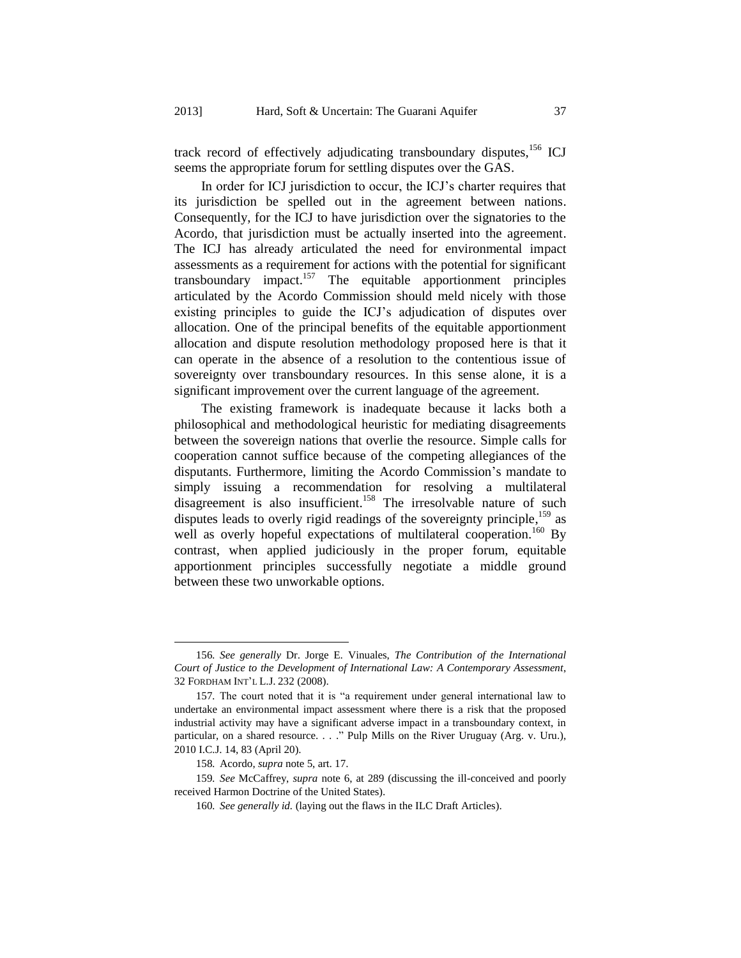track record of effectively adjudicating transboundary disputes,<sup>156</sup> ICJ seems the appropriate forum for settling disputes over the GAS.

In order for ICJ jurisdiction to occur, the ICJ's charter requires that its jurisdiction be spelled out in the agreement between nations. Consequently, for the ICJ to have jurisdiction over the signatories to the Acordo, that jurisdiction must be actually inserted into the agreement. The ICJ has already articulated the need for environmental impact assessments as a requirement for actions with the potential for significant  $transboundary$  impact.<sup>157</sup> The equitable apportionment principles articulated by the Acordo Commission should meld nicely with those existing principles to guide the ICJ's adjudication of disputes over allocation. One of the principal benefits of the equitable apportionment allocation and dispute resolution methodology proposed here is that it can operate in the absence of a resolution to the contentious issue of sovereignty over transboundary resources. In this sense alone, it is a significant improvement over the current language of the agreement.

The existing framework is inadequate because it lacks both a philosophical and methodological heuristic for mediating disagreements between the sovereign nations that overlie the resource. Simple calls for cooperation cannot suffice because of the competing allegiances of the disputants. Furthermore, limiting the Acordo Commission's mandate to simply issuing a recommendation for resolving a multilateral disagreement is also insufficient.<sup>158</sup> The irresolvable nature of such disputes leads to overly rigid readings of the sovereignty principle,<sup>159</sup> as well as overly hopeful expectations of multilateral cooperation.<sup>160</sup> By contrast, when applied judiciously in the proper forum, equitable apportionment principles successfully negotiate a middle ground between these two unworkable options.

<sup>156</sup>*. See generally* Dr. Jorge E. Vinuales, *The Contribution of the International Court of Justice to the Development of International Law: A Contemporary Assessment*, 32 FORDHAM INT'L L.J. 232 (2008).

<sup>157</sup>*.* The court noted that it is "a requirement under general international law to undertake an environmental impact assessment where there is a risk that the proposed industrial activity may have a significant adverse impact in a transboundary context, in particular, on a shared resource. . . ." Pulp Mills on the River Uruguay (Arg. v. Uru.), 2010 I.C.J. 14, 83 (April 20).

<sup>158</sup>*.* Acordo, *supra* not[e 5,](#page-4-2) art. 17.

<sup>159</sup>*. See* McCaffrey, *supra* note [6,](#page-5-0) at 289 (discussing the ill-conceived and poorly received Harmon Doctrine of the United States).

<sup>160</sup>*. See generally id.* (laying out the flaws in the ILC Draft Articles).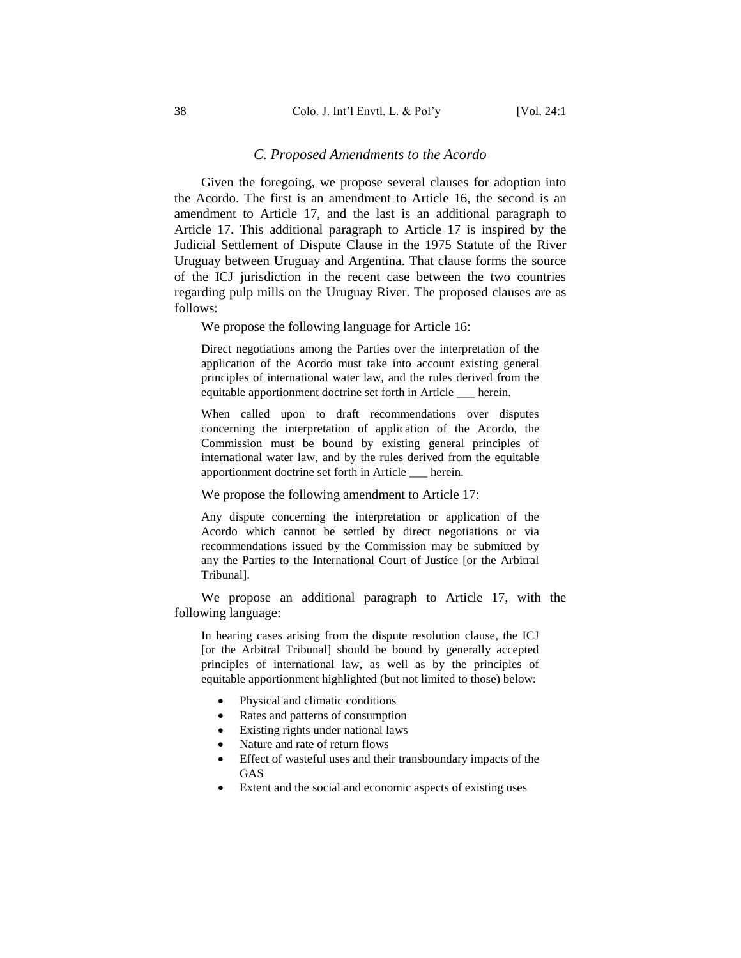#### *C. Proposed Amendments to the Acordo*

<span id="page-38-0"></span>Given the foregoing, we propose several clauses for adoption into the Acordo. The first is an amendment to Article 16, the second is an amendment to Article 17, and the last is an additional paragraph to Article 17. This additional paragraph to Article 17 is inspired by the Judicial Settlement of Dispute Clause in the 1975 Statute of the River Uruguay between Uruguay and Argentina. That clause forms the source of the ICJ jurisdiction in the recent case between the two countries regarding pulp mills on the Uruguay River. The proposed clauses are as follows:

We propose the following language for Article 16:

Direct negotiations among the Parties over the interpretation of the application of the Acordo must take into account existing general principles of international water law, and the rules derived from the equitable apportionment doctrine set forth in Article \_\_\_ herein.

When called upon to draft recommendations over disputes concerning the interpretation of application of the Acordo, the Commission must be bound by existing general principles of international water law, and by the rules derived from the equitable apportionment doctrine set forth in Article \_\_\_ herein.

We propose the following amendment to Article 17:

Any dispute concerning the interpretation or application of the Acordo which cannot be settled by direct negotiations or via recommendations issued by the Commission may be submitted by any the Parties to the International Court of Justice [or the Arbitral Tribunal].

We propose an additional paragraph to Article 17, with the following language:

In hearing cases arising from the dispute resolution clause, the ICJ [or the Arbitral Tribunal] should be bound by generally accepted principles of international law, as well as by the principles of equitable apportionment highlighted (but not limited to those) below:

- Physical and climatic conditions
- Rates and patterns of consumption
- Existing rights under national laws
- Nature and rate of return flows
- Effect of wasteful uses and their transboundary impacts of the GAS
- Extent and the social and economic aspects of existing uses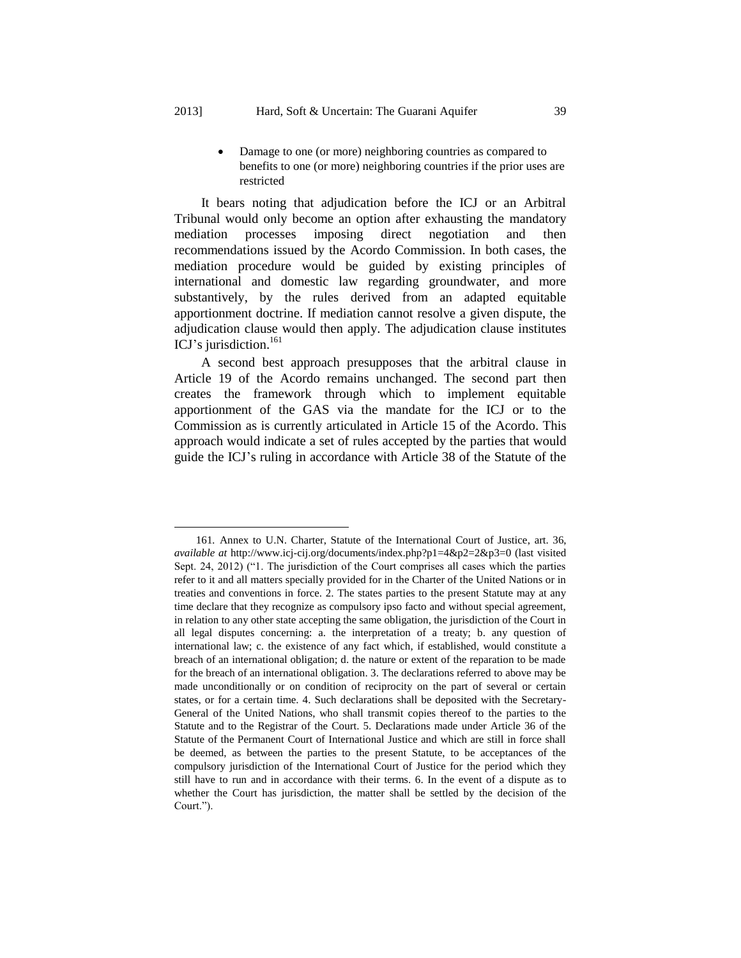### Damage to one (or more) neighboring countries as compared to benefits to one (or more) neighboring countries if the prior uses are restricted

It bears noting that adjudication before the ICJ or an Arbitral Tribunal would only become an option after exhausting the mandatory mediation processes imposing direct negotiation and then recommendations issued by the Acordo Commission. In both cases, the mediation procedure would be guided by existing principles of international and domestic law regarding groundwater, and more substantively, by the rules derived from an adapted equitable apportionment doctrine. If mediation cannot resolve a given dispute, the adjudication clause would then apply. The adjudication clause institutes ICJ's jurisdiction.<sup>161</sup>

A second best approach presupposes that the arbitral clause in Article 19 of the Acordo remains unchanged. The second part then creates the framework through which to implement equitable apportionment of the GAS via the mandate for the ICJ or to the Commission as is currently articulated in Article 15 of the Acordo. This approach would indicate a set of rules accepted by the parties that would guide the ICJ's ruling in accordance with Article 38 of the Statute of the

<sup>161</sup>*.* Annex to U.N. Charter, Statute of the International Court of Justice, art. 36, *available at* http://www.icj-cij.org/documents/index.php?p1=4&p2=2&p3=0 (last visited Sept. 24, 2012) ("1. The jurisdiction of the Court comprises all cases which the parties refer to it and all matters specially provided for in the Charter of the United Nations or in treaties and conventions in force. 2. The states parties to the present Statute may at any time declare that they recognize as compulsory ipso facto and without special agreement, in relation to any other state accepting the same obligation, the jurisdiction of the Court in all legal disputes concerning: a. the interpretation of a treaty; b. any question of international law; c. the existence of any fact which, if established, would constitute a breach of an international obligation; d. the nature or extent of the reparation to be made for the breach of an international obligation. 3. The declarations referred to above may be made unconditionally or on condition of reciprocity on the part of several or certain states, or for a certain time. 4. Such declarations shall be deposited with the Secretary-General of the United Nations, who shall transmit copies thereof to the parties to the Statute and to the Registrar of the Court. 5. Declarations made under Article 36 of the Statute of the Permanent Court of International Justice and which are still in force shall be deemed, as between the parties to the present Statute, to be acceptances of the compulsory jurisdiction of the International Court of Justice for the period which they still have to run and in accordance with their terms. 6. In the event of a dispute as to whether the Court has jurisdiction, the matter shall be settled by the decision of the Court.").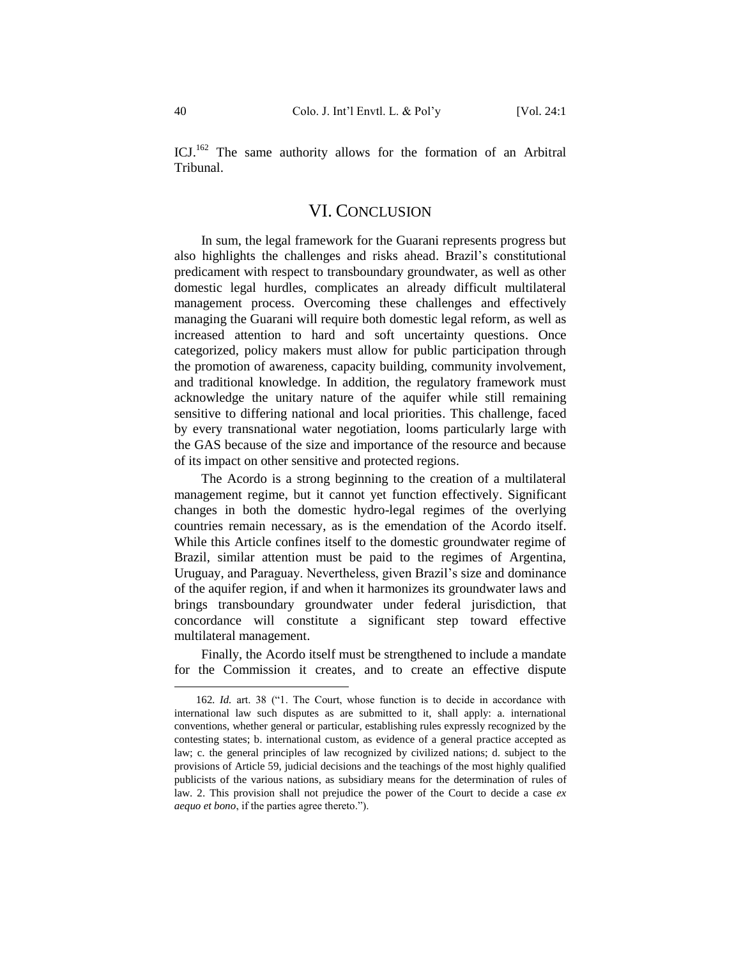<span id="page-40-0"></span>ICJ.<sup>162</sup> The same authority allows for the formation of an Arbitral Tribunal.

### VI. CONCLUSION

In sum, the legal framework for the Guarani represents progress but also highlights the challenges and risks ahead. Brazil's constitutional predicament with respect to transboundary groundwater, as well as other domestic legal hurdles, complicates an already difficult multilateral management process. Overcoming these challenges and effectively managing the Guarani will require both domestic legal reform, as well as increased attention to hard and soft uncertainty questions. Once categorized, policy makers must allow for public participation through the promotion of awareness, capacity building, community involvement, and traditional knowledge. In addition, the regulatory framework must acknowledge the unitary nature of the aquifer while still remaining sensitive to differing national and local priorities. This challenge, faced by every transnational water negotiation, looms particularly large with the GAS because of the size and importance of the resource and because of its impact on other sensitive and protected regions.

The Acordo is a strong beginning to the creation of a multilateral management regime, but it cannot yet function effectively. Significant changes in both the domestic hydro-legal regimes of the overlying countries remain necessary, as is the emendation of the Acordo itself. While this Article confines itself to the domestic groundwater regime of Brazil, similar attention must be paid to the regimes of Argentina, Uruguay, and Paraguay. Nevertheless, given Brazil's size and dominance of the aquifer region, if and when it harmonizes its groundwater laws and brings transboundary groundwater under federal jurisdiction, that concordance will constitute a significant step toward effective multilateral management.

Finally, the Acordo itself must be strengthened to include a mandate for the Commission it creates, and to create an effective dispute

<sup>162</sup>*. Id.* art. 38 ("1. The Court, whose function is to decide in accordance with international law such disputes as are submitted to it, shall apply: a. international conventions, whether general or particular, establishing rules expressly recognized by the contesting states; b. international custom, as evidence of a general practice accepted as law; c. the general principles of law recognized by civilized nations; d. subject to the provisions of Article 59, judicial decisions and the teachings of the most highly qualified publicists of the various nations, as subsidiary means for the determination of rules of law. 2. This provision shall not prejudice the power of the Court to decide a case *ex aequo et bono*, if the parties agree thereto.").